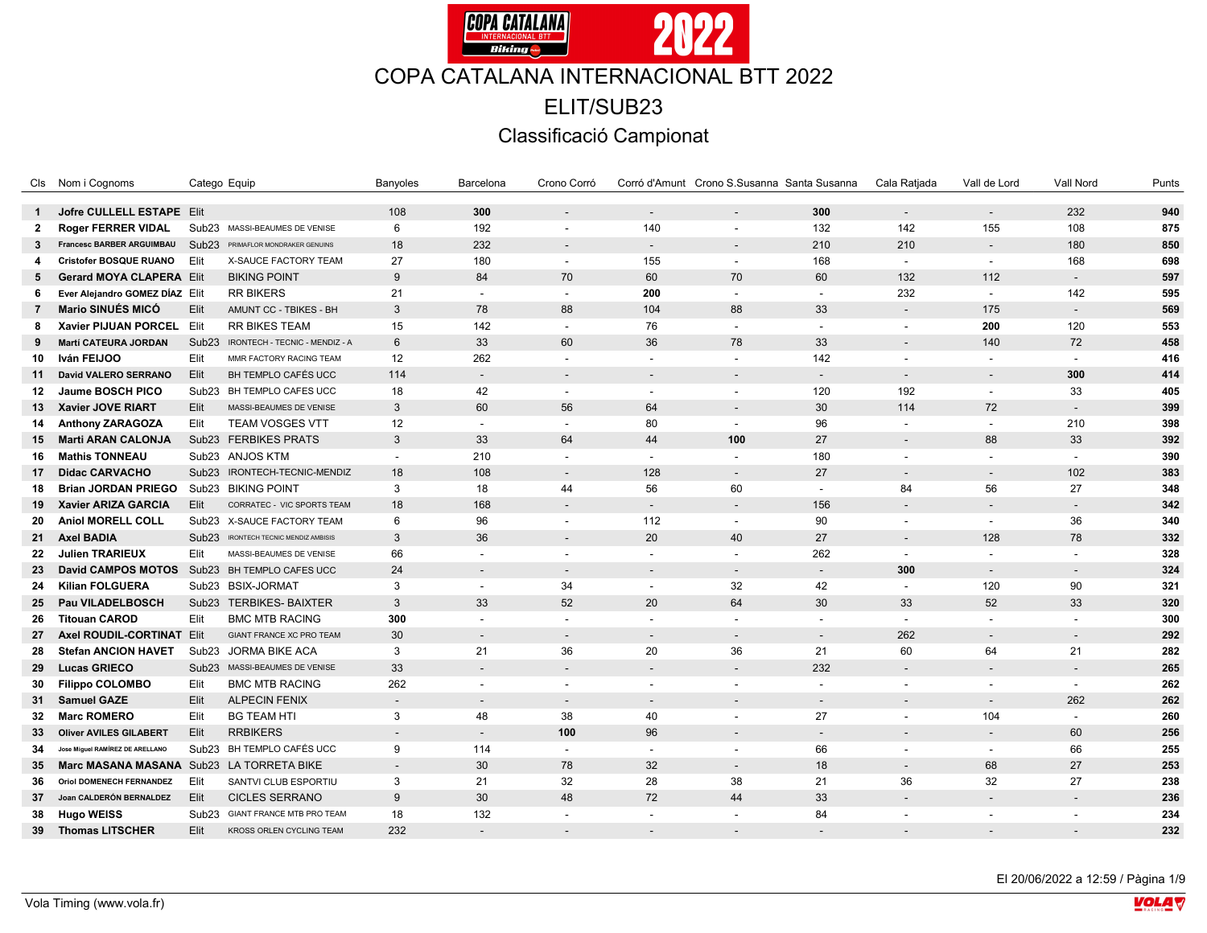

Classificació Campionat

|                | Cls Nom i Cognoms                            |                   | Catego Equip                         | Banyoles       | Barcelona                | Crono Corró              |                          | Corró d'Amunt Crono S.Susanna Santa Susanna |                          | Cala Ratjada             | Vall de Lord             | Vall Nord                | Punts |
|----------------|----------------------------------------------|-------------------|--------------------------------------|----------------|--------------------------|--------------------------|--------------------------|---------------------------------------------|--------------------------|--------------------------|--------------------------|--------------------------|-------|
|                | Jofre CULLELL ESTAPE Elit                    |                   |                                      |                | 300                      |                          |                          |                                             | 300                      |                          |                          |                          | 940   |
| $\mathbf{1}$   |                                              |                   |                                      | 108            | 192                      | $\overline{\phantom{a}}$ | $\overline{\phantom{a}}$ | $\overline{\phantom{a}}$                    |                          | $\overline{\phantom{a}}$ | $\blacksquare$           | 232                      |       |
| $\mathbf{2}$   | <b>Roger FERRER VIDAL</b>                    | Sub <sub>23</sub> | MASSI-BEAUMES DE VENISE              | 6              |                          | $\overline{a}$           | 140                      |                                             | 132                      | 142                      | 155                      | 108                      | 875   |
| 3              | <b>Francesc BARBER ARGUIMBAU</b>             |                   | Sub23 PRIMAFLOR MONDRAKER GENUINS    | 18             | 232                      | $\blacksquare$           | $\sim$                   | $\overline{\phantom{a}}$                    | 210                      | 210                      | $\sim$                   | 180                      | 850   |
| 4              | <b>Cristofer BOSQUE RUANO</b>                | Elit              | X-SAUCE FACTORY TEAM                 | 27             | 180                      | $\sim$                   | 155                      | $\blacksquare$                              | 168                      | $\sim$                   | $\overline{\phantom{a}}$ | 168                      | 698   |
| 5              | <b>Gerard MOYA CLAPERA Elit</b>              |                   | <b>BIKING POINT</b>                  | 9              | 84                       | 70                       | 60                       | 70                                          | 60                       | 132                      | 112                      | $\overline{\phantom{0}}$ | 597   |
| 6              | Ever Alejandro GOMEZ DÍAZ Elit               |                   | <b>RR BIKERS</b>                     | 21             | $\sim$                   | $\sim$                   | 200                      | $\overline{\phantom{a}}$                    | $\sim$                   | 232                      | $\sim$                   | 142                      | 595   |
| $\overline{7}$ | Mario SINUÉS MICÓ                            | Elit              | AMUNT CC - TBIKES - BH               | 3              | 78                       | 88                       | 104                      | 88                                          | 33                       | $\sim$                   | 175                      | $\overline{\phantom{a}}$ | 569   |
| 8              | <b>Xavier PIJUAN PORCEL</b>                  | Elit              | <b>RR BIKES TEAM</b>                 | 15             | 142                      | $\blacksquare$           | 76                       | $\blacksquare$                              | $\sim$                   | $\blacksquare$           | 200                      | 120                      | 553   |
| 9              | <b>Martí CATEURA JORDAN</b>                  | Sub <sub>23</sub> | IRONTECH - TECNIC - MENDIZ - A       | $6\phantom{.}$ | 33                       | 60                       | 36                       | 78                                          | 33                       | $\overline{a}$           | 140                      | 72                       | 458   |
| 10             | Iván FEIJOO                                  | Elit              | MMR FACTORY RACING TEAM              | 12             | 262                      | $\overline{a}$           | $\overline{\phantom{a}}$ |                                             | 142                      | $\overline{a}$           | $\mathbf{r}$             |                          | 416   |
| 11             | David VALERO SERRANO                         | Elit              | BH TEMPLO CAFÉS UCC                  | 114            | $\overline{\phantom{a}}$ | $\overline{\phantom{a}}$ | $\overline{\phantom{a}}$ | $\overline{\phantom{a}}$                    | $\overline{\phantom{a}}$ | $\blacksquare$           | $\overline{\phantom{a}}$ | 300                      | 414   |
| 12             | Jaume BOSCH PICO                             |                   | Sub23 BH TEMPLO CAFES UCC            | 18             | 42                       | $\blacksquare$           | $\blacksquare$           | $\overline{\phantom{0}}$                    | 120                      | 192                      | $\sim$                   | 33                       | 405   |
| 13             | <b>Xavier JOVE RIART</b>                     | Elit              | MASSI-BEAUMES DE VENISE              | 3              | 60                       | 56                       | 64                       | $\overline{\phantom{0}}$                    | 30                       | 114                      | 72                       |                          | 399   |
| 14             | <b>Anthony ZARAGOZA</b>                      | Elit              | <b>TEAM VOSGES VTT</b>               | 12             | $\sim$                   | $\overline{a}$           | 80                       | $\blacksquare$                              | 96                       | $\overline{a}$           | $\sim$                   | 210                      | 398   |
| 15             | <b>Marti ARAN CALONJA</b>                    |                   | Sub23 FERBIKES PRATS                 | 3              | 33                       | 64                       | 44                       | 100                                         | 27                       | $\overline{\phantom{0}}$ | 88                       | 33                       | 392   |
| 16             | <b>Mathis TONNEAU</b>                        |                   | Sub23 ANJOS KTM                      | $\sim$         | 210                      | $\overline{a}$           | $\overline{a}$           |                                             | 180                      | $\overline{a}$           | $\sim$                   |                          | 390   |
| 17             | <b>Didac CARVACHO</b>                        |                   | Sub23 IRONTECH-TECNIC-MENDIZ         | 18             | 108                      | $\sim$                   | 128                      | $\overline{a}$                              | 27                       | $\overline{\phantom{a}}$ | $\overline{\phantom{a}}$ | 102                      | 383   |
| 18             | <b>Brian JORDAN PRIEGO</b>                   |                   | Sub23 BIKING POINT                   | 3              | 18                       | 44                       | 56                       | 60                                          | $\sim$                   | 84                       | 56                       | 27                       | 348   |
| 19             | Xavier ARIZA GARCIA                          | Elit              | CORRATEC - VIC SPORTS TEAM           | 18             | 168                      | $\overline{\phantom{a}}$ | $\overline{\phantom{a}}$ | $\overline{\phantom{a}}$                    | 156                      | $\overline{a}$           | $\overline{\phantom{a}}$ |                          | 342   |
| 20             | <b>Aniol MORELL COLL</b>                     |                   | Sub23 X-SAUCE FACTORY TEAM           | 6              | 96                       | $\blacksquare$           | 112                      | $\overline{a}$                              | 90                       | $\overline{a}$           | $\sim$                   | 36                       | 340   |
| 21             | <b>Axel BADIA</b>                            |                   | Sub23 IRONTECH TECNIC MENDIZ AMBISIS | 3              | 36                       | $\blacksquare$           | 20                       | 40                                          | 27                       | $\overline{a}$           | 128                      | 78                       | 332   |
| 22             | <b>Julien TRARIEUX</b>                       | Elit              | MASSI-BEAUMES DE VENISE              | 66             | $\overline{a}$           | $\overline{a}$           | $\overline{\phantom{a}}$ |                                             | 262                      | $\blacksquare$           | $\blacksquare$           |                          | 328   |
| 23             | David CAMPOS MOTOS Sub23 BH TEMPLO CAFES UCC |                   |                                      | 24             | $\overline{\phantom{a}}$ | $\blacksquare$           | $\overline{\phantom{a}}$ | $\overline{\phantom{a}}$                    | $\sim$                   | 300                      | $\overline{\phantom{a}}$ |                          | 324   |
| 24             | <b>Kilian FOLGUERA</b>                       |                   | Sub23 BSIX-JORMAT                    | 3              | $\blacksquare$           | 34                       | $\sim$                   | 32                                          | 42                       | $\overline{\phantom{a}}$ | 120                      | 90                       | 321   |
| 25             | <b>Pau VILADELBOSCH</b>                      |                   | Sub23 TERBIKES- BAIXTER              | 3              | 33                       | 52                       | 20                       | 64                                          | 30                       | 33                       | 52                       | 33                       | 320   |
| 26             | <b>Titouan CAROD</b>                         | Elit              | <b>BMC MTB RACING</b>                | 300            | $\overline{a}$           | $\overline{a}$           | $\overline{\phantom{a}}$ |                                             | $\overline{\phantom{a}}$ | $\blacksquare$           | $\sim$                   |                          | 300   |
| 27             | Axel ROUDIL-CORTINAT Elit                    |                   | GIANT FRANCE XC PRO TEAM             | 30             | $\blacksquare$           | $\blacksquare$           | $\overline{\phantom{a}}$ | $\overline{\phantom{a}}$                    | $\sim$                   | 262                      | $\overline{\phantom{a}}$ |                          | 292   |
| 28             | <b>Stefan ANCION HAVET</b>                   | Sub <sub>23</sub> | <b>JORMA BIKE ACA</b>                | 3              | 21                       | 36                       | 20                       | 36                                          | 21                       | 60                       | 64                       | 21                       | 282   |
| 29             | <b>Lucas GRIECO</b>                          |                   | Sub23 MASSI-BEAUMES DE VENISE        | 33             | $\sim$                   | $\sim$                   | $\sim$                   | $\overline{a}$                              | 232                      | $\sim$                   | $\sim$                   | $\overline{a}$           | 265   |
| 30             | <b>Filippo COLOMBO</b>                       | Elit              | <b>BMC MTB RACING</b>                | 262            | $\blacksquare$           | $\sim$                   | $\overline{\phantom{a}}$ | $\overline{\phantom{0}}$                    | $\sim$                   | $\blacksquare$           | $\overline{\phantom{a}}$ | $\sim$                   | 262   |
| 31             | <b>Samuel GAZE</b>                           | Elit              | <b>ALPECIN FENIX</b>                 | $\blacksquare$ | $\overline{\phantom{a}}$ | $\overline{\phantom{a}}$ | $\overline{\phantom{a}}$ | $\overline{\phantom{a}}$                    | $\overline{\phantom{a}}$ | $\overline{\phantom{a}}$ | $\overline{\phantom{a}}$ | 262                      | 262   |
| 32             | <b>Marc ROMERO</b>                           | Elit              | <b>BG TEAM HTI</b>                   | 3              | 48                       | 38                       | 40                       | $\blacksquare$                              | 27                       | $\blacksquare$           | 104                      |                          | 260   |
| 33             | <b>Oliver AVILES GILABERT</b>                | Elit              | <b>RRBIKERS</b>                      |                | $\sim$                   | 100                      | 96                       | $\overline{\phantom{a}}$                    | $\overline{\phantom{a}}$ | $\overline{a}$           | $\overline{\phantom{a}}$ | 60                       | 256   |
| 34             | Jose Miguel RAMÍREZ DE ARELLANO              |                   | Sub23 BH TEMPLO CAFÉS UCC            | 9              | 114                      | $\sim$                   | $\sim$                   | $\overline{a}$                              | 66                       | $\sim$                   | $\sim$                   | 66                       | 255   |
| 35             | Marc MASANA MASANA Sub23 LA TORRETA BIKE     |                   |                                      | $\overline{a}$ | 30                       | 78                       | 32                       | $\overline{\phantom{a}}$                    | 18                       | $\blacksquare$           | 68                       | 27                       | 253   |
| 36             | <b>Oriol DOMENECH FERNANDEZ</b>              | Elit              | SANTVI CLUB ESPORTIU                 | 3              | 21                       | 32                       | 28                       | 38                                          | 21                       | 36                       | 32                       | 27                       | 238   |
| 37             | Joan CALDERÓN BERNALDEZ                      | Elit              | <b>CICLES SERRANO</b>                | 9              | 30                       | 48                       | 72                       | 44                                          | 33                       | $\overline{\phantom{a}}$ | $\sim$                   | $\overline{\phantom{a}}$ | 236   |
| 38             | <b>Hugo WEISS</b>                            | Sub <sub>23</sub> | GIANT FRANCE MTB PRO TEAM            | 18             | 132                      | $\overline{\phantom{a}}$ | $\blacksquare$           |                                             | 84                       | $\overline{\phantom{a}}$ | $\overline{\phantom{a}}$ |                          | 234   |
| 39             | <b>Thomas LITSCHER</b>                       | Elit              | KROSS ORLEN CYCLING TEAM             | 232            |                          |                          |                          |                                             |                          |                          |                          |                          | 232   |
|                |                                              |                   |                                      |                |                          |                          |                          |                                             |                          |                          |                          |                          |       |

El 20/06/2022 a 12:59 / Pàgina 1/9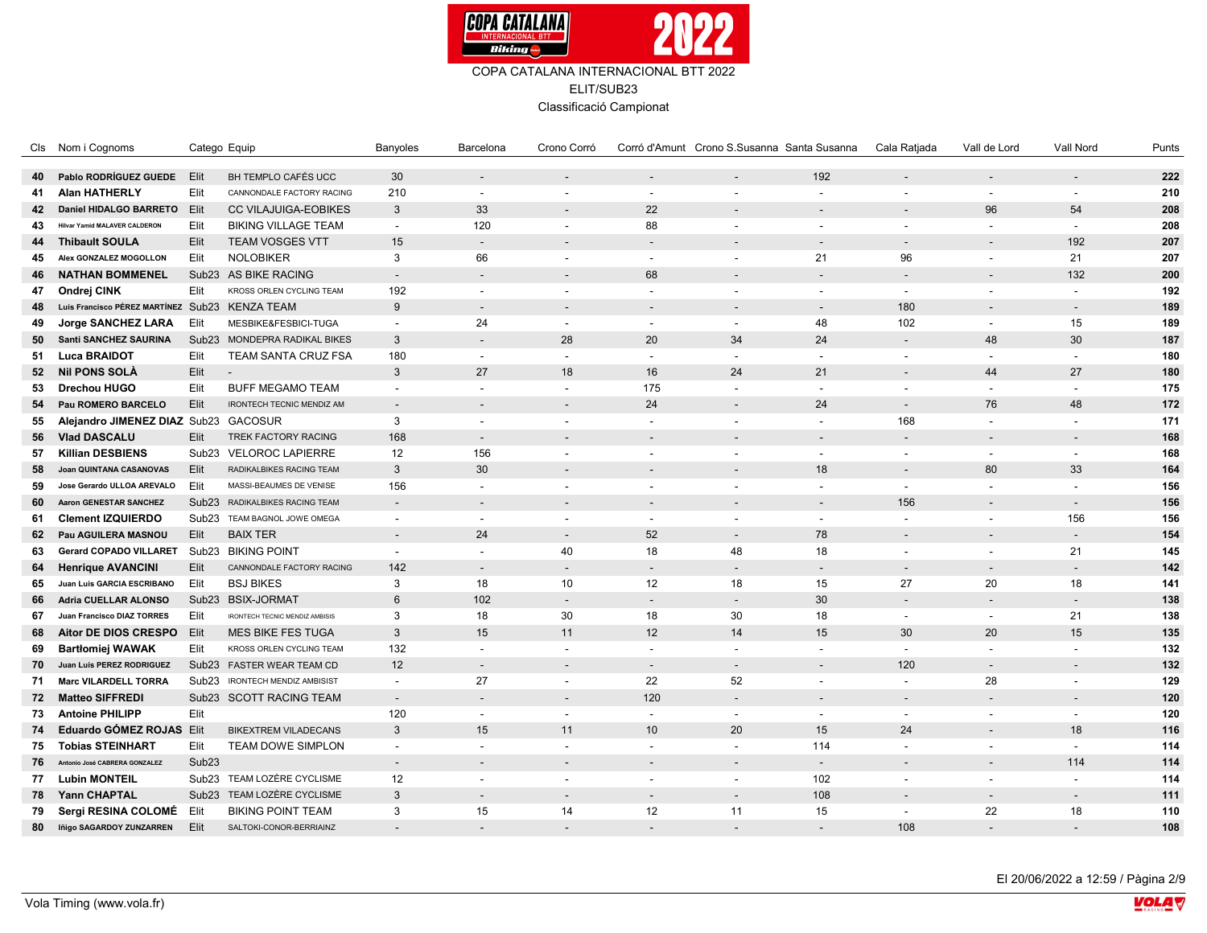

Classificació Campionat

|    | Cls Nom i Cognoms                                    | Catego Equip      |                                       | Banyoles                 | Barcelona                | Crono Corró              |                          | Corró d'Amunt Crono S.Susanna Santa Susanna |                          | Cala Ratjada             | Vall de Lord             | Vall Nord                | Punts |
|----|------------------------------------------------------|-------------------|---------------------------------------|--------------------------|--------------------------|--------------------------|--------------------------|---------------------------------------------|--------------------------|--------------------------|--------------------------|--------------------------|-------|
|    |                                                      |                   |                                       |                          |                          |                          |                          |                                             |                          |                          |                          |                          |       |
| 40 | Pablo RODRÍGUEZ GUEDE Elit                           |                   | BH TEMPLO CAFÉS UCC                   | 30                       | $\sim$                   | $\sim$                   | $\overline{\phantom{a}}$ | $\overline{\phantom{a}}$                    | 192                      | $\overline{\phantom{a}}$ | $\overline{\phantom{a}}$ | $\overline{\phantom{a}}$ | 222   |
| 41 | <b>Alan HATHERLY</b>                                 | Elit              | CANNONDALE FACTORY RACING             | 210                      | $\blacksquare$           |                          | $\overline{\phantom{a}}$ | $\overline{\phantom{a}}$                    | $\overline{\phantom{a}}$ | $\overline{\phantom{a}}$ | $\blacksquare$           | $\overline{a}$           | 210   |
| 42 | Daniel HIDALGO BARRETO Elit                          |                   | <b>CC VILAJUIGA-EOBIKES</b>           | $\mathbf{3}$             | 33                       | $\sim$                   | 22                       |                                             | $\overline{\phantom{a}}$ | $\overline{\phantom{a}}$ | 96                       | 54                       | 208   |
| 43 | <b>Hilvar Yamid MALAVER CALDERON</b>                 | Elit              | <b>BIKING VILLAGE TEAM</b>            | $\overline{\phantom{a}}$ | 120                      | $\blacksquare$           | 88                       | $\overline{\phantom{a}}$                    | $\overline{\phantom{a}}$ | $\overline{\phantom{a}}$ | $\overline{\phantom{a}}$ | $\blacksquare$           | 208   |
| 44 | <b>Thibault SOULA</b>                                | Elit              | <b>TEAM VOSGES VTT</b>                | 15                       | $\sim$                   | $\sim$                   | $\sim$                   | $\overline{a}$                              | $\overline{\phantom{a}}$ | $\overline{a}$           | $\overline{a}$           | 192                      | 207   |
| 45 | Alex GONZALEZ MOGOLLON                               | Elit              | <b>NOLOBIKER</b>                      | 3                        | 66                       | $\overline{\phantom{a}}$ | $\overline{\phantom{a}}$ | $\overline{\phantom{a}}$                    | 21                       | 96                       | $\overline{\phantom{a}}$ | 21                       | 207   |
| 46 | <b>NATHAN BOMMENEL</b>                               |                   | Sub23 AS BIKE RACING                  | $\overline{\phantom{a}}$ | $\overline{\phantom{a}}$ |                          | 68                       | $\overline{\phantom{a}}$                    | $\overline{\phantom{a}}$ | $\overline{\phantom{a}}$ | $\overline{\phantom{a}}$ | 132                      | 200   |
| 47 | Ondrej CINK                                          | Elit              | KROSS ORLEN CYCLING TEAM              | 192                      | $\blacksquare$           |                          | $\overline{\phantom{a}}$ |                                             | $\overline{\phantom{a}}$ | $\overline{\phantom{a}}$ | $\overline{\phantom{a}}$ | $\overline{\phantom{a}}$ | 192   |
| 48 | Luis Francisco PÉREZ MARTÍNEZ Sub23 KENZA TEAM       |                   |                                       | 9                        | $\sim$                   | $\sim$                   | $\sim$                   | $\overline{\phantom{a}}$                    | $\overline{\phantom{a}}$ | 180                      | $\overline{\phantom{a}}$ | $\overline{\phantom{a}}$ | 189   |
| 49 | <b>Jorge SANCHEZ LARA</b>                            | Elit              | MESBIKE&FESBICI-TUGA                  | $\blacksquare$           | 24                       | $\overline{\phantom{a}}$ | $\overline{\phantom{a}}$ | $\overline{\phantom{a}}$                    | 48                       | 102                      | $\blacksquare$           | 15                       | 189   |
| 50 | Santi SANCHEZ SAURINA                                |                   | Sub23 MONDEPRA RADIKAL BIKES          | 3                        | $\overline{\phantom{a}}$ | 28                       | 20                       | 34                                          | 24                       | $\sim$                   | 48                       | 30                       | 187   |
| 51 | <b>Luca BRAIDOT</b>                                  | Elit              | TEAM SANTA CRUZ FSA                   | 180                      | $\overline{\phantom{a}}$ | $\overline{\phantom{a}}$ | $\sim$                   | $\blacksquare$                              | $\overline{a}$           | $\blacksquare$           | $\sim$                   | $\blacksquare$           | 180   |
| 52 | Nil PONS SOLÀ                                        | Elit              | $\overline{\phantom{a}}$              | $\mathbf{3}$             | 27                       | 18                       | 16                       | 24                                          | 21                       | $\overline{a}$           | 44                       | 27                       | 180   |
| 53 | <b>Drechou HUGO</b>                                  | Elit              | <b>BUFF MEGAMO TEAM</b>               | $\blacksquare$           | $\blacksquare$           | $\sim$                   | 175                      | $\overline{\phantom{a}}$                    | $\blacksquare$           | $\overline{\phantom{a}}$ | $\sim$                   | $\blacksquare$           | 175   |
| 54 | Pau ROMERO BARCELO                                   | Elit              | <b>IRONTECH TECNIC MENDIZ AM</b>      | $\overline{\phantom{a}}$ | $\overline{a}$           |                          | 24                       | $\overline{\phantom{a}}$                    | 24                       | $\overline{\phantom{a}}$ | 76                       | 48                       | 172   |
| 55 | Alejandro JIMENEZ DIAZ Sub23 GACOSUR                 |                   |                                       | 3                        | $\overline{\phantom{a}}$ |                          | $\sim$                   |                                             | $\blacksquare$           | 168                      | $\blacksquare$           | $\blacksquare$           | 171   |
| 56 | <b>Vlad DASCALU</b>                                  | Elit              | TREK FACTORY RACING                   | 168                      | $\sim$                   |                          |                          | $\overline{a}$                              | $\overline{\phantom{a}}$ | $\overline{a}$           | $\overline{\phantom{a}}$ | $\overline{a}$           | 168   |
| 57 | <b>Killian DESBIENS</b>                              | Sub <sub>23</sub> | <b>VELOROC LAPIERRE</b>               | 12                       | 156                      |                          | $\overline{\phantom{a}}$ | $\overline{\phantom{a}}$                    | $\overline{\phantom{a}}$ | $\blacksquare$           | $\overline{\phantom{a}}$ | $\blacksquare$           | 168   |
| 58 | Joan QUINTANA CASANOVAS                              | Elit              | RADIKALBIKES RACING TEAM              | $\mathbf{3}$             | 30                       |                          |                          |                                             | 18                       | $\overline{\phantom{a}}$ | 80                       | 33                       | 164   |
| 59 | Jose Gerardo ULLOA AREVALO                           | Elit              | MASSI-BEAUMES DE VENISE               | 156                      | $\mathbf{r}$             |                          | $\sim$                   | $\blacksquare$                              | $\blacksquare$           | $\blacksquare$           | $\blacksquare$           | $\blacksquare$           | 156   |
| 60 | Aaron GENESTAR SANCHEZ                               | Sub <sub>23</sub> | RADIKALBIKES RACING TEAM              | $\overline{\phantom{a}}$ | $\overline{a}$           |                          |                          |                                             |                          | 156                      |                          | $\overline{\phantom{a}}$ | 156   |
| 61 | <b>Clement IZQUIERDO</b>                             |                   | Sub23 TEAM BAGNOL JOWE OMEGA          | $\blacksquare$           | $\overline{\phantom{a}}$ |                          | $\sim$                   | $\overline{\phantom{a}}$                    | $\overline{\phantom{a}}$ | $\sim$                   | $\overline{\phantom{a}}$ | 156                      | 156   |
| 62 | Pau AGUILERA MASNOU                                  | Elit              | <b>BAIX TER</b>                       | $\overline{\phantom{a}}$ | 24                       |                          | 52                       | $\overline{\phantom{a}}$                    | 78                       |                          |                          | $\overline{\phantom{a}}$ | 154   |
| 63 | <b>Gerard COPADO VILLARET</b>                        | Sub <sub>23</sub> | <b>BIKING POINT</b>                   | $\blacksquare$           | $\sim$                   | 40                       | 18                       | 48                                          | 18                       | $\sim$                   | $\overline{\phantom{a}}$ | 21                       | 145   |
| 64 | <b>Henrique AVANCINI</b>                             | Elit              | CANNONDALE FACTORY RACING             | 142                      | $\overline{\phantom{a}}$ |                          | $\overline{\phantom{a}}$ | $\overline{\phantom{a}}$                    | $\overline{\phantom{a}}$ | $\overline{\phantom{a}}$ | $\overline{\phantom{a}}$ | $\overline{\phantom{a}}$ | 142   |
| 65 | Juan Luis GARCIA ESCRIBANO                           | Elit              | <b>BSJ BIKES</b>                      | 3                        | 18                       | 10                       | 12                       | 18                                          | 15                       | 27                       | 20                       | 18                       | 141   |
| 66 | <b>Adria CUELLAR ALONSO</b>                          |                   | Sub23 BSIX-JORMAT                     | $6\phantom{1}$           | 102                      |                          | $\sim$                   | $\overline{\phantom{a}}$                    | 30                       | $\overline{a}$           | $\overline{\phantom{a}}$ | $\overline{\phantom{a}}$ | 138   |
| 67 | Juan Francisco DIAZ TORRES                           | Elit              | <b>IRONTECH TECNIC MENDIZ AMBISIS</b> | 3                        | 18                       | 30                       | 18                       | 30                                          | 18                       | $\overline{\phantom{a}}$ | $\sim$                   | 21                       | 138   |
| 68 | Aitor DE DIOS CRESPO                                 | Elit              | <b>MES BIKE FES TUGA</b>              | $\mathbf{3}$             | 15                       | 11                       | 12                       | 14                                          | 15                       | 30                       | 20                       | 15                       | 135   |
| 69 | <b>Bartłomiej WAWAK</b>                              | Elit              | KROSS ORLEN CYCLING TEAM              | 132                      | $\overline{\phantom{a}}$ | $\sim$                   | $\overline{\phantom{a}}$ | $\overline{\phantom{a}}$                    | $\overline{\phantom{a}}$ | $\sim$                   | $\overline{\phantom{a}}$ | $\sim$                   | 132   |
| 70 | Juan Luis PEREZ RODRIGUEZ                            |                   | Sub23 FASTER WEAR TEAM CD             | 12                       | $\sim$                   |                          | $\sim$                   | $\overline{\phantom{a}}$                    |                          | 120                      | $\overline{\phantom{a}}$ | $\overline{a}$           | 132   |
| 71 | <b>Marc VILARDELL TORRA</b>                          | Sub <sub>23</sub> | <b>IRONTECH MENDIZ AMBISIST</b>       | $\blacksquare$           | 27                       | $\sim$                   | 22                       | 52                                          | $\blacksquare$           | $\blacksquare$           | 28                       | $\blacksquare$           | 129   |
| 72 | <b>Matteo SIFFREDI</b>                               |                   | Sub23 SCOTT RACING TEAM               | $\overline{\phantom{a}}$ | $\overline{a}$           |                          | 120                      |                                             |                          | $\overline{a}$           | $\overline{a}$           | $\overline{a}$           | 120   |
| 73 | <b>Antoine PHILIPP</b>                               | Elit              |                                       | 120                      | $\sim$                   | $\overline{\phantom{a}}$ | $\overline{\phantom{a}}$ | $\sim$                                      | $\overline{\phantom{a}}$ | $\sim$                   | $\blacksquare$           | $\sim$                   | 120   |
| 74 | Eduardo GÓMEZ ROJAS Elit                             |                   | <b>BIKEXTREM VILADECANS</b>           | $\mathbf{3}$             | 15                       | 11                       | 10                       | 20                                          | 15                       | 24                       | $\overline{a}$           | 18                       | 116   |
| 75 | <b>Tobias STEINHART</b>                              | Elit              | <b>TEAM DOWE SIMPLON</b>              | $\sim$                   | $\sim$                   | $\sim$                   | $\overline{\phantom{a}}$ | $\sim$                                      | 114                      | $\sim$                   | $\blacksquare$           | $\overline{a}$           | 114   |
| 76 | Antonio José CABRERA GONZALEZ                        | Sub <sub>23</sub> |                                       | $\overline{\phantom{a}}$ |                          |                          |                          |                                             | $\overline{\phantom{a}}$ |                          | $\overline{a}$           | 114                      | 114   |
| 77 | <b>Lubin MONTEIL</b>                                 | Sub <sub>23</sub> | TEAM LOZÈRE CYCLISME                  | 12                       | $\sim$                   | $\overline{\phantom{a}}$ | $\overline{\phantom{a}}$ | $\overline{\phantom{a}}$                    | 102                      | $\overline{\phantom{a}}$ | $\sim$                   | $\sim$                   | 114   |
| 78 | Yann CHAPTAL                                         |                   | Sub23 TEAM LOZÈRE CYCLISME            | 3                        | $\sim$                   | $\sim$                   | $\overline{\phantom{a}}$ | $\overline{\phantom{a}}$                    | 108                      | $\overline{a}$           | $\blacksquare$           | $\overline{\phantom{a}}$ | 111   |
| 79 |                                                      |                   | <b>BIKING POINT TEAM</b>              | 3                        | 15                       | 14                       | 12                       | 11                                          | 15                       |                          | 22                       | 18                       | 110   |
|    | Sergi RESINA COLOMÉ Elit<br>Iñigo SAGARDOY ZUNZARREN | Elit              | SALTOKI-CONOR-BERRIAINZ               |                          |                          |                          |                          |                                             |                          | 108                      |                          |                          | 108   |
| 80 |                                                      |                   |                                       |                          |                          |                          |                          |                                             |                          |                          |                          |                          |       |

El 20/06/2022 a 12:59 / Pàgina 2/9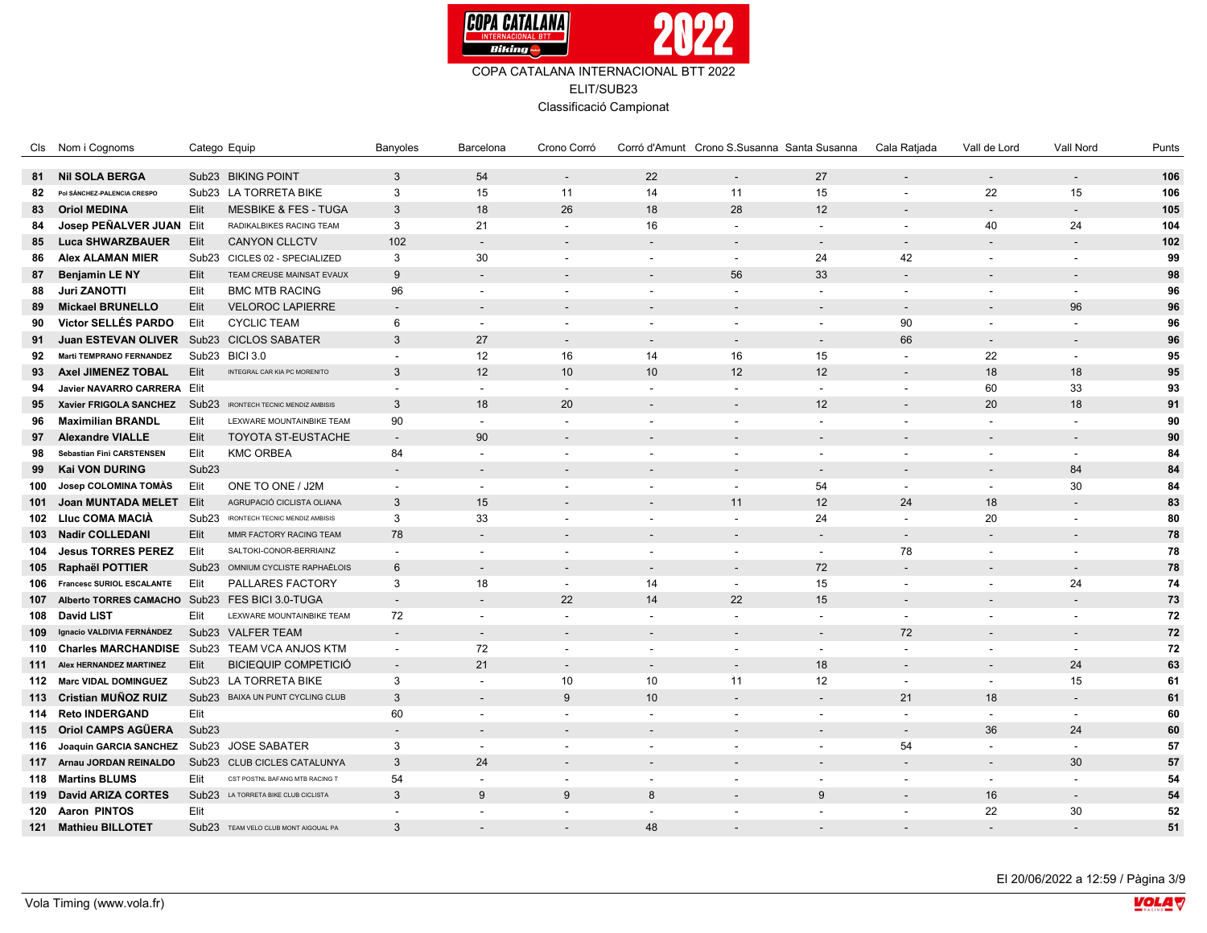

Classificació Campionat

|     | Cls Nom i Cognoms                             |                   | Catego Equip                                                    | Banyoles                                   | Barcelona                                  | Crono Corró              |                                    | Corró d'Amunt Crono S.Susanna Santa Susanna |                                            | Cala Ratjada                               | Vall de Lord                                         | Vall Nord                | Punts    |
|-----|-----------------------------------------------|-------------------|-----------------------------------------------------------------|--------------------------------------------|--------------------------------------------|--------------------------|------------------------------------|---------------------------------------------|--------------------------------------------|--------------------------------------------|------------------------------------------------------|--------------------------|----------|
| 81  | <b>Nil SOLA BERGA</b>                         |                   | Sub23 BIKING POINT                                              | 3                                          | 54                                         | $\sim$                   | 22                                 | $\overline{\phantom{a}}$                    | 27                                         | $\overline{\phantom{a}}$                   | $\overline{\phantom{a}}$                             | $\overline{\phantom{a}}$ | 106      |
| 82  | Pol SÁNCHEZ-PALENCIA CRESPO                   | Sub <sub>23</sub> | <b>LA TORRETA BIKE</b>                                          | 3                                          | 15                                         | 11                       | 14                                 | 11                                          | 15                                         | $\blacksquare$                             | 22                                                   | 15                       | 106      |
| 83  | <b>Oriol MEDINA</b>                           | Elit              | <b>MESBIKE &amp; FES - TUGA</b>                                 | 3                                          | 18                                         | 26                       | 18                                 | 28                                          | 12                                         | $\blacksquare$                             | $\sim$                                               | $\overline{\phantom{a}}$ | 105      |
| 84  | Josep PEÑALVER JUAN Elit                      |                   | RADIKALBIKES RACING TEAM                                        | 3                                          | 21                                         | $\sim$                   | 16                                 | $\overline{\phantom{a}}$                    | $\overline{\phantom{a}}$                   | $\blacksquare$                             | 40                                                   | 24                       | 104      |
| 85  | <b>Luca SHWARZBAUER</b>                       | Elit              | <b>CANYON CLLCTV</b>                                            | 102                                        | $\overline{\phantom{a}}$                   |                          | $\overline{\phantom{a}}$           |                                             | $\overline{\phantom{a}}$                   | $\overline{\phantom{a}}$                   | $\overline{\phantom{a}}$                             | $\overline{\phantom{a}}$ | 102      |
| 86  | <b>Alex ALAMAN MIER</b>                       |                   | Sub23 CICLES 02 - SPECIALIZED                                   | 3                                          | 30                                         | $\overline{\phantom{a}}$ | $\overline{\phantom{a}}$           | $\sim$                                      | 24                                         | 42                                         | $\overline{\phantom{a}}$                             | $\overline{\phantom{a}}$ | 99       |
| 87  | <b>Benjamin LE NY</b>                         | Elit              | TEAM CREUSE MAINSAT EVAUX                                       | 9                                          | $\overline{\phantom{a}}$                   |                          |                                    | 56                                          | 33                                         | $\overline{\phantom{a}}$                   | $\overline{\phantom{a}}$                             |                          | 98       |
| 88  | Juri ZANOTTI                                  | Elit              | <b>BMC MTB RACING</b>                                           | 96                                         | $\blacksquare$                             | $\blacksquare$           | $\sim$                             | $\blacksquare$                              | $\blacksquare$                             | $\blacksquare$                             | $\blacksquare$                                       | $\blacksquare$           | 96       |
| 89  | <b>Mickael BRUNELLO</b>                       | Elit              | <b>VELOROC LAPIERRE</b>                                         | $\overline{a}$                             | $\overline{\phantom{a}}$                   |                          |                                    |                                             |                                            | $\overline{\phantom{a}}$                   | $\overline{\phantom{a}}$                             | 96                       | 96       |
| 90  | <b>Victor SELLÉS PARDO</b>                    | Elit              | <b>CYCLIC TEAM</b>                                              | 6                                          | $\sim$                                     | $\overline{\phantom{a}}$ | $\overline{\phantom{a}}$           | $\overline{\phantom{a}}$                    | $\overline{\phantom{a}}$                   | 90                                         | $\overline{\phantom{a}}$                             |                          | 96       |
| 91  | Juan ESTEVAN OLIVER Sub23 CICLOS SABATER      |                   |                                                                 | 3                                          | 27                                         | $\overline{\phantom{a}}$ | $\overline{\phantom{a}}$           |                                             | $\blacksquare$                             | 66                                         | $\overline{\phantom{a}}$                             |                          | 96       |
| 92  | <b>Marti TEMPRANO FERNANDEZ</b>               |                   | Sub23 BICI 3.0                                                  | $\overline{a}$                             | 12                                         | 16                       | 14                                 | 16                                          | 15                                         | $\overline{\phantom{a}}$                   | 22                                                   | $\overline{\phantom{a}}$ | 95       |
| 93  | Axel JIMENEZ TOBAL                            | Elit              | INTEGRAL CAR KIA PC MORENITO                                    | 3                                          | 12                                         | 10                       | 10                                 | 12                                          | 12                                         |                                            | 18                                                   | 18                       | 95       |
| 94  | Javier NAVARRO CARRERA Elit                   |                   |                                                                 | $\blacksquare$                             | $\blacksquare$                             | $\overline{\phantom{a}}$ | $\sim$                             | $\blacksquare$                              | $\sim$                                     | $\overline{\phantom{a}}$                   | 60                                                   | 33                       | 93       |
| 95  | Xavier FRIGOLA SANCHEZ                        | Sub <sub>23</sub> | <b>IRONTECH TECNIC MENDIZ AMBISIS</b>                           | 3                                          | 18                                         | 20                       |                                    |                                             | 12                                         | $\overline{a}$                             | 20                                                   | 18                       | 91       |
| 96  | <b>Maximilian BRANDL</b>                      | Elit              | LEXWARE MOUNTAINBIKE TEAM                                       | 90                                         | $\sim$                                     | $\overline{\phantom{a}}$ | $\overline{\phantom{a}}$           | $\overline{\phantom{a}}$                    | $\overline{\phantom{a}}$                   | $\blacksquare$                             | $\blacksquare$                                       |                          | 90       |
| 97  | <b>Alexandre VIALLE</b>                       | Elit              | <b>TOYOTA ST-EUSTACHE</b>                                       | $\overline{a}$                             | 90                                         |                          |                                    |                                             |                                            |                                            | $\overline{\phantom{a}}$                             |                          | 90       |
|     | Sebastian Fini CARSTENSEN                     | Elit              | <b>KMC ORBEA</b>                                                |                                            | $\overline{\phantom{a}}$                   | $\overline{\phantom{a}}$ |                                    |                                             | $\blacksquare$                             |                                            |                                                      | $\overline{\phantom{a}}$ | 84       |
| 98  | <b>Kai VON DURING</b>                         | Sub <sub>23</sub> |                                                                 | 84<br>$\overline{a}$                       | $\sim$                                     |                          | $\overline{\phantom{a}}$           | $\overline{\phantom{a}}$                    | $\overline{a}$                             | $\overline{\phantom{a}}$<br>$\overline{a}$ | $\overline{\phantom{a}}$<br>$\overline{\phantom{a}}$ | 84                       | 84       |
| 99  |                                               |                   |                                                                 |                                            |                                            |                          |                                    |                                             |                                            |                                            |                                                      |                          |          |
| 100 | Josep COLOMINA TOMÀS                          | Elit<br>Elit      | ONE TO ONE / J2M<br>AGRUPACIÓ CICLISTA OLIANA                   | $\blacksquare$                             | $\sim$<br>15                               | $\sim$                   | $\sim$                             | $\blacksquare$<br>11                        | 54<br>12                                   | $\blacksquare$                             | $\blacksquare$<br>18                                 | 30                       | 84<br>83 |
| 101 | Joan MUNTADA MELET<br>102 Liuc COMA MACIÀ     |                   |                                                                 | 3<br>3                                     |                                            | $\sim$                   |                                    |                                             | 24                                         | 24<br>$\sim$                               |                                                      |                          |          |
|     |                                               |                   | Sub23 IRONTECH TECNIC MENDIZ AMBISIS<br>MMR FACTORY RACING TEAM | 78                                         | 33<br>$\overline{a}$                       |                          | $\overline{\phantom{a}}$           | $\blacksquare$                              | $\overline{\phantom{a}}$                   |                                            | 20                                                   | $\overline{\phantom{a}}$ | 80<br>78 |
|     | 103 Nadir COLLEDANI                           | Elit              |                                                                 |                                            |                                            | $\overline{a}$           |                                    |                                             |                                            | $\overline{\phantom{a}}$                   | $\overline{\phantom{a}}$                             |                          |          |
| 104 | <b>Jesus TORRES PEREZ</b>                     | Elit              | SALTOKI-CONOR-BERRIAINZ                                         | $\overline{a}$                             | $\ddot{\phantom{a}}$                       |                          | $\overline{\phantom{a}}$           | $\sim$                                      | $\overline{a}$                             | 78                                         | $\sim$                                               |                          | 78       |
| 105 | Raphaël POTTIER                               |                   | Sub23 OMNIUM CYCLISTE RAPHAËLOIS                                | 6                                          | $\overline{a}$                             | $\overline{\phantom{0}}$ | $\overline{\phantom{a}}$           |                                             | 72                                         | $\overline{a}$                             | $\overline{\phantom{a}}$                             |                          | 78       |
| 106 | <b>Francesc SURIOL ESCALANTE</b>              | Elit              | PALLARES FACTORY                                                | 3                                          | 18                                         | $\overline{\phantom{a}}$ | 14                                 | $\blacksquare$                              | 15<br>15                                   | $\sim$                                     | $\overline{\phantom{a}}$                             | 24                       | 74       |
| 107 | Alberto TORRES CAMACHO Sub23                  |                   | FES BICI 3.0-TUGA                                               | $\overline{\phantom{a}}$                   | $\mathcal{L}_{\mathcal{A}}$                | 22                       | 14                                 | 22                                          |                                            | $\overline{\phantom{a}}$                   | $\overline{\phantom{a}}$                             |                          | 73       |
|     | 108 David LIST<br>Ignacio VALDIVIA FERNÁNDEZ  | Elit              | LEXWARE MOUNTAINBIKE TEAM                                       | 72                                         | $\overline{\phantom{a}}$<br>$\overline{a}$ | $\sim$                   | $\sim$                             | $\blacksquare$                              | $\overline{\phantom{a}}$                   | $\blacksquare$<br>72                       | $\overline{\phantom{a}}$                             | $\overline{\phantom{a}}$ | 72<br>72 |
| 109 | Charles MARCHANDISE Sub23 TEAM VCA ANJOS KTM  |                   | Sub23 VALFER TEAM                                               | $\overline{a}$<br>$\overline{\phantom{a}}$ | 72                                         | $\overline{\phantom{a}}$ | $\overline{\phantom{a}}$           | $\sim$                                      | $\blacksquare$                             | $\sim$                                     | $\overline{a}$<br>$\blacksquare$                     | $\overline{\phantom{a}}$ | 72       |
| 110 | <b>Alex HERNANDEZ MARTINEZ</b>                | Elit              | <b>BICIEQUIP COMPETICIÓ</b>                                     | $\sim$                                     | 21                                         | $\overline{a}$           | $\overline{\phantom{a}}$<br>$\sim$ |                                             | 18                                         | $\overline{a}$                             | $\overline{\phantom{a}}$                             | 24                       | 63       |
| 111 |                                               |                   | Sub23 LA TORRETA BIKE                                           | 3                                          | $\sim$                                     |                          |                                    | $\overline{\phantom{a}}$<br>11              | 12                                         |                                            |                                                      | 15                       |          |
|     | 112 Marc VIDAL DOMINGUEZ                      |                   |                                                                 |                                            | $\overline{a}$                             | 10                       | 10                                 |                                             |                                            | $\blacksquare$                             | $\overline{\phantom{a}}$                             |                          | 61       |
|     | 113 Cristian MUÑOZ RUIZ<br>114 Reto INDERGAND | Elit              | Sub23 BAIXA UN PUNT CYCLING CLUB                                | 3                                          | $\overline{a}$                             | 9<br>$\sim$              | 10<br>$\sim$                       | $\sim$                                      | $\overline{\phantom{a}}$<br>$\overline{a}$ | 21<br>$\overline{a}$                       | 18<br>$\ddot{\phantom{a}}$                           | $\overline{a}$           | 61       |
|     |                                               |                   |                                                                 | 60                                         |                                            |                          |                                    |                                             |                                            |                                            |                                                      |                          | 60       |
|     | 115 Oriol CAMPS AGÜERA                        | Sub <sub>23</sub> | Sub23 JOSE SABATER                                              | $\overline{a}$<br>3                        | $\overline{a}$<br>$\sim$                   | ۰<br>$\sim$              | $\overline{\phantom{a}}$<br>$\sim$ |                                             | $\overline{\phantom{a}}$<br>$\overline{a}$ | $\sim$                                     | 36                                                   | 24                       | 60       |
| 116 | Joaquin GARCIA SANCHEZ                        |                   |                                                                 |                                            |                                            |                          |                                    | $\sim$                                      |                                            | 54                                         | $\sim$                                               |                          | 57       |
|     | 117 Arnau JORDAN REINALDO                     |                   | Sub23 CLUB CICLES CATALUNYA                                     | 3                                          | 24<br>$\overline{\phantom{a}}$             | $\overline{a}$           |                                    |                                             | $\overline{a}$                             | $\overline{\phantom{a}}$                   | $\overline{\phantom{a}}$                             | 30                       | 57       |
|     | 118 Martins BLUMS                             | Elit              | CST POSTNL BAFANG MTB RACING T                                  | 54                                         |                                            |                          | $\sim$                             | $\blacksquare$                              |                                            | $\sim$                                     | $\sim$                                               |                          | 54       |
| 119 | <b>David ARIZA CORTES</b>                     | Sub <sub>23</sub> | LA TORRETA BIKE CLUB CICLISTA                                   | 3                                          | 9                                          | 9                        | 8                                  |                                             | 9                                          |                                            | 16                                                   | $\overline{a}$           | 54       |
|     | 120 Aaron PINTOS                              | Elit              | TEAM VELO CLUB MONT AIGOUAL PA                                  | $\overline{a}$                             | $\overline{a}$                             | $\overline{\phantom{a}}$ |                                    |                                             | $\overline{\phantom{a}}$                   |                                            | 22                                                   | 30                       | 52<br>51 |
| 121 | <b>Mathieu BILLOTET</b>                       | Sub <sub>23</sub> |                                                                 | 3                                          |                                            |                          | 48                                 |                                             |                                            |                                            |                                                      |                          |          |

El 20/06/2022 a 12:59 / Pàgina 3/9

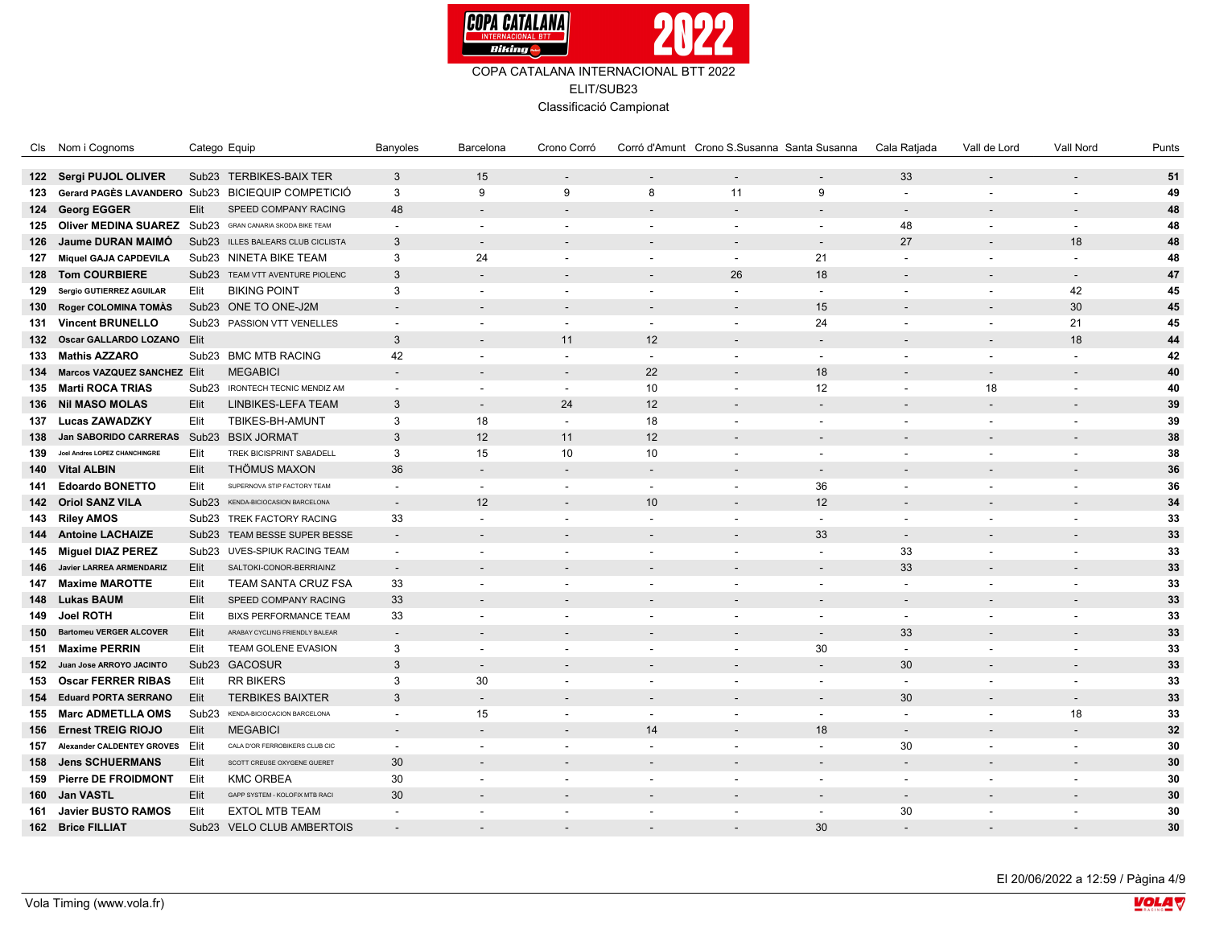

Classificació Campionat

|     | Cls Nom i Cognoms               | Catego Equip      |                                   | Banyoles                 | Barcelona                | Crono Corró              |                          | Corró d'Amunt Crono S.Susanna Santa Susanna |                          | Cala Ratjada             | Vall de Lord             | Vall Nord                | Punts |
|-----|---------------------------------|-------------------|-----------------------------------|--------------------------|--------------------------|--------------------------|--------------------------|---------------------------------------------|--------------------------|--------------------------|--------------------------|--------------------------|-------|
|     | 122 Sergi PUJOL OLIVER          |                   | Sub23 TERBIKES-BAIX TER           | 3                        | 15                       | $\sim$                   | $\sim$                   | $\overline{\phantom{a}}$                    | $\overline{\phantom{a}}$ | 33                       | $\overline{\phantom{a}}$ | $\overline{\phantom{a}}$ | 51    |
| 123 | Gerard PAGES LAVANDERO Sub23    |                   | <b>BICIEQUIP COMPETICIÓ</b>       | 3                        | 9                        | 9                        | 8                        | 11                                          | 9                        | $\blacksquare$           |                          |                          | 49    |
|     | <b>Georg EGGER</b>              | Elit              | SPEED COMPANY RACING              | 48                       | $\overline{\phantom{a}}$ | $\overline{\phantom{a}}$ | $\overline{\phantom{a}}$ | $\overline{\phantom{a}}$                    | $\overline{\phantom{a}}$ |                          |                          | $\overline{\phantom{a}}$ | 48    |
| 124 |                                 |                   |                                   |                          |                          |                          |                          |                                             |                          | $\overline{\phantom{a}}$ | $\overline{\phantom{a}}$ |                          |       |
| 125 | Oliver MEDINA SUAREZ Sub23      |                   | GRAN CANARIA SKODA BIKE TEAM      | $\blacksquare$           | $\overline{\phantom{a}}$ | $\overline{\phantom{a}}$ | $\overline{\phantom{a}}$ |                                             | $\overline{\phantom{a}}$ | 48                       | $\overline{\phantom{a}}$ |                          | 48    |
| 126 | Jaume DURAN MAIMÓ               |                   | Sub23 ILLES BALEARS CLUB CICLISTA | 3                        | $\overline{\phantom{a}}$ | $\overline{\phantom{a}}$ |                          |                                             | $\overline{\phantom{a}}$ | 27                       | $\overline{\phantom{a}}$ | 18                       | 48    |
| 127 | <b>Miquel GAJA CAPDEVILA</b>    |                   | Sub23 NINETA BIKE TEAM            | 3                        | 24                       | $\overline{\phantom{a}}$ | $\overline{\phantom{a}}$ | $\overline{\phantom{a}}$                    | 21                       | $\blacksquare$           | $\overline{\phantom{a}}$ | $\overline{\phantom{a}}$ | 48    |
|     | 128 Tom COURBIERE               |                   | Sub23 TEAM VTT AVENTURE PIOLENC   | 3                        | $\overline{\phantom{a}}$ | $\overline{\phantom{0}}$ | $\overline{\phantom{a}}$ | 26                                          | 18                       | $\overline{\phantom{a}}$ | $\overline{\phantom{a}}$ | $\overline{\phantom{a}}$ | 47    |
| 129 | Sergio GUTIERREZ AGUILAR        | Elit              | <b>BIKING POINT</b>               | 3                        | $\overline{\phantom{a}}$ | $\overline{\phantom{a}}$ |                          |                                             | $\overline{\phantom{a}}$ |                          | $\overline{\phantom{a}}$ | 42                       | 45    |
| 130 | <b>Roger COLOMINA TOMÀS</b>     | Sub <sub>23</sub> | ONE TO ONE-J2M                    | $\overline{\phantom{a}}$ | $\overline{\phantom{a}}$ | $\overline{a}$           | $\overline{a}$           |                                             | 15                       | $\overline{\phantom{a}}$ | $\overline{\phantom{a}}$ | 30                       | 45    |
| 131 | <b>Vincent BRUNELLO</b>         |                   | Sub23 PASSION VTT VENELLES        | $\blacksquare$           | $\blacksquare$           | $\blacksquare$           | $\overline{\phantom{a}}$ |                                             | 24                       | $\blacksquare$           | $\overline{\phantom{a}}$ | 21                       | 45    |
|     | 132 Oscar GALLARDO LOZANO Elit  |                   |                                   | 3                        | $\overline{\phantom{a}}$ | 11                       | 12                       |                                             | $\overline{\phantom{a}}$ | $\overline{\phantom{a}}$ | $\overline{\phantom{a}}$ | 18                       | 44    |
| 133 | <b>Mathis AZZARO</b>            |                   | Sub23 BMC MTB RACING              | 42                       | $\overline{\phantom{a}}$ | $\overline{\phantom{a}}$ | $\overline{\phantom{a}}$ |                                             | $\blacksquare$           | $\blacksquare$           | $\overline{\phantom{a}}$ | $\overline{\phantom{a}}$ | 42    |
| 134 | Marcos VAZQUEZ SANCHEZ Elit     |                   | <b>MEGABICI</b>                   | $\overline{\phantom{a}}$ | $\overline{a}$           | $\overline{\phantom{a}}$ | 22                       |                                             | 18                       |                          | $\overline{\phantom{a}}$ |                          | 40    |
| 135 | <b>Marti ROCA TRIAS</b>         |                   | Sub23 IRONTECH TECNIC MENDIZ AM   | $\overline{\phantom{a}}$ | $\blacksquare$           | $\overline{\phantom{a}}$ | 10                       |                                             | 12                       |                          | 18                       | $\overline{\phantom{a}}$ | 40    |
|     | 136 Nil MASO MOLAS              | Elit              | LINBIKES-LEFA TEAM                | 3                        | $\overline{\phantom{a}}$ | 24                       | 12                       |                                             | $\overline{\phantom{a}}$ |                          | $\overline{\phantom{a}}$ |                          | 39    |
| 137 | <b>Lucas ZAWADZKY</b>           | Elit              | TBIKES-BH-AMUNT                   | 3                        | 18                       | $\sim$                   | 18                       |                                             | $\overline{\phantom{a}}$ |                          | $\overline{\phantom{a}}$ |                          | 39    |
| 138 | Jan SABORIDO CARRERAS           |                   | Sub23 BSIX JORMAT                 | 3                        | 12                       | 11                       | 12                       |                                             | $\overline{\phantom{a}}$ | $\overline{a}$           | $\overline{a}$           |                          | 38    |
| 139 | Joel Andres LOPEZ CHANCHINGRE   | Elit              | TREK BICISPRINT SABADELL          | 3                        | 15                       | 10                       | 10                       |                                             | $\overline{\phantom{a}}$ | $\blacksquare$           | $\overline{\phantom{a}}$ |                          | 38    |
| 140 | <b>Vital ALBIN</b>              | Elit              | THÖMUS MAXON                      | 36                       | $\overline{\phantom{a}}$ | $\overline{\phantom{a}}$ |                          |                                             | $\overline{\phantom{a}}$ |                          |                          |                          | 36    |
| 141 | <b>Edoardo BONETTO</b>          | Elit              | SUPERNOVA STIP FACTORY TEAM       | $\blacksquare$           | $\overline{\phantom{a}}$ | $\overline{\phantom{a}}$ | $\sim$                   | $\overline{\phantom{a}}$                    | 36                       | $\blacksquare$           | $\overline{\phantom{a}}$ |                          | 36    |
|     | 142 Oriol SANZ VILA             |                   | Sub23 KENDA-BICIOCASION BARCELONA |                          | 12                       |                          | 10                       |                                             | 12                       |                          |                          |                          | 34    |
| 143 | <b>Riley AMOS</b>               | Sub <sub>23</sub> | <b>TREK FACTORY RACING</b>        | 33                       | $\overline{a}$           | $\overline{\phantom{a}}$ | $\overline{\phantom{a}}$ | $\overline{\phantom{a}}$                    | $\overline{a}$           | $\overline{\phantom{a}}$ | $\overline{\phantom{a}}$ | $\overline{\phantom{a}}$ | 33    |
|     | 144 Antoine LACHAIZE            | Sub <sub>23</sub> | TEAM BESSE SUPER BESSE            | $\overline{\phantom{a}}$ |                          |                          |                          |                                             | 33                       | $\overline{\phantom{a}}$ |                          |                          | 33    |
| 145 | <b>Miguel DIAZ PEREZ</b>        |                   | Sub23 UVES-SPIUK RACING TEAM      | $\blacksquare$           | $\overline{\phantom{a}}$ | $\overline{\phantom{a}}$ | $\overline{\phantom{a}}$ | $\overline{\phantom{a}}$                    | $\blacksquare$           | 33                       | $\overline{\phantom{a}}$ |                          | 33    |
| 146 | <b>Javier LARREA ARMENDARIZ</b> | Elit              | SALTOKI-CONOR-BERRIAINZ           |                          | $\overline{a}$           |                          |                          |                                             |                          | 33                       |                          |                          | 33    |
| 147 | <b>Maxime MAROTTE</b>           | Elit              | TEAM SANTA CRUZ FSA               | 33                       | $\overline{\phantom{a}}$ | $\blacksquare$           |                          |                                             | $\overline{\phantom{a}}$ | $\blacksquare$           | $\overline{\phantom{a}}$ |                          | 33    |
| 148 | <b>Lukas BAUM</b>               | Elit              | SPEED COMPANY RACING              | 33                       | $\overline{a}$           |                          |                          |                                             |                          | $\overline{a}$           |                          |                          | 33    |
| 149 | Joel ROTH                       | Elit              | <b>BIXS PERFORMANCE TEAM</b>      | 33                       | $\overline{\phantom{a}}$ | $\overline{\phantom{a}}$ | $\overline{\phantom{a}}$ |                                             | $\overline{\phantom{a}}$ | $\overline{\phantom{a}}$ | $\overline{\phantom{a}}$ |                          | 33    |
| 150 | <b>Bartomeu VERGER ALCOVER</b>  | Elit              | ARABAY CYCLING FRIENDLY BALEAR    |                          |                          |                          |                          |                                             | $\overline{a}$           | 33                       |                          |                          | 33    |
| 151 | <b>Maxime PERRIN</b>            | Elit              | TEAM GOLENE EVASION               | 3                        | $\overline{\phantom{a}}$ | $\overline{\phantom{a}}$ | $\overline{\phantom{a}}$ | $\overline{\phantom{a}}$                    | 30                       | $\sim$                   | $\overline{\phantom{a}}$ | $\overline{\phantom{a}}$ | 33    |
|     | 152 Juan Jose ARROYO JACINTO    | Sub <sub>23</sub> | <b>GACOSUR</b>                    | 3                        | $\overline{\phantom{a}}$ |                          |                          |                                             | $\overline{a}$           | 30                       |                          |                          | 33    |
| 153 | <b>Oscar FERRER RIBAS</b>       | Elit              | <b>RR BIKERS</b>                  | 3                        | 30                       | $\blacksquare$           | $\sim$                   |                                             | $\blacksquare$           | $\blacksquare$           | $\blacksquare$           |                          | 33    |
| 154 | <b>Eduard PORTA SERRANO</b>     | Elit              | <b>TERBIKES BAIXTER</b>           | 3                        | $\overline{a}$           | $\overline{a}$           |                          |                                             |                          | 30                       | $\overline{a}$           | $\overline{\phantom{a}}$ | 33    |
| 155 | <b>Marc ADMETLLA OMS</b>        | Sub <sub>23</sub> | KENDA-BICIOCACION BARCELONA       | $\blacksquare$           | 15                       | $\overline{\phantom{a}}$ | $\overline{\phantom{a}}$ | $\overline{\phantom{a}}$                    | $\blacksquare$           | $\overline{\phantom{a}}$ | $\overline{\phantom{a}}$ | 18                       | 33    |
| 156 | <b>Ernest TREIG RIOJO</b>       | Elit              | <b>MEGABICI</b>                   | $\overline{\phantom{a}}$ | $\overline{\phantom{a}}$ | $\overline{\phantom{a}}$ | 14                       |                                             | 18                       | $\overline{\phantom{a}}$ | $\overline{\phantom{a}}$ | $\overline{\phantom{a}}$ | 32    |
|     | 157 Alexander CALDENTEY GROVES  | Elit              | CALA D'OR FERROBIKERS CLUB CIC    | $\sim$                   | $\overline{\phantom{a}}$ | $\sim$                   | $\sim$                   | $\sim$                                      | $\overline{\phantom{a}}$ | 30                       | $\blacksquare$           | $\overline{\phantom{a}}$ | 30    |
| 158 | <b>Jens SCHUERMANS</b>          | Elit              | SCOTT CREUSE OXYGENE GUERET       | 30                       |                          |                          |                          |                                             |                          |                          |                          |                          | 30    |
|     | 159 Pierre DE FROIDMONT         | Elit              | <b>KMC ORBEA</b>                  | 30                       | $\overline{\phantom{a}}$ | $\overline{\phantom{a}}$ | $\sim$                   | $\overline{\phantom{a}}$                    | $\overline{\phantom{a}}$ | $\overline{\phantom{a}}$ | $\overline{\phantom{a}}$ | $\overline{\phantom{a}}$ | 30    |
| 160 | <b>Jan VASTL</b>                | Elit              | GAPP SYSTEM - KOLOFIX MTB RACI    | 30                       | $\overline{\phantom{a}}$ |                          |                          |                                             |                          | $\overline{\phantom{a}}$ |                          |                          | 30    |
| 161 | <b>Javier BUSTO RAMOS</b>       | Elit              | <b>EXTOL MTB TEAM</b>             | $\overline{\phantom{a}}$ | $\overline{\phantom{a}}$ | $\sim$                   | $\overline{\phantom{a}}$ |                                             | $\overline{\phantom{a}}$ | 30                       | $\blacksquare$           |                          | 30    |
|     | 162 Brice FILLIAT               | Sub <sub>23</sub> | <b>VELO CLUB AMBERTOIS</b>        |                          |                          |                          |                          |                                             | 30                       |                          |                          |                          | 30    |
|     |                                 |                   |                                   |                          |                          |                          |                          |                                             |                          |                          |                          |                          |       |

El 20/06/2022 a 12:59 / Pàgina 4/9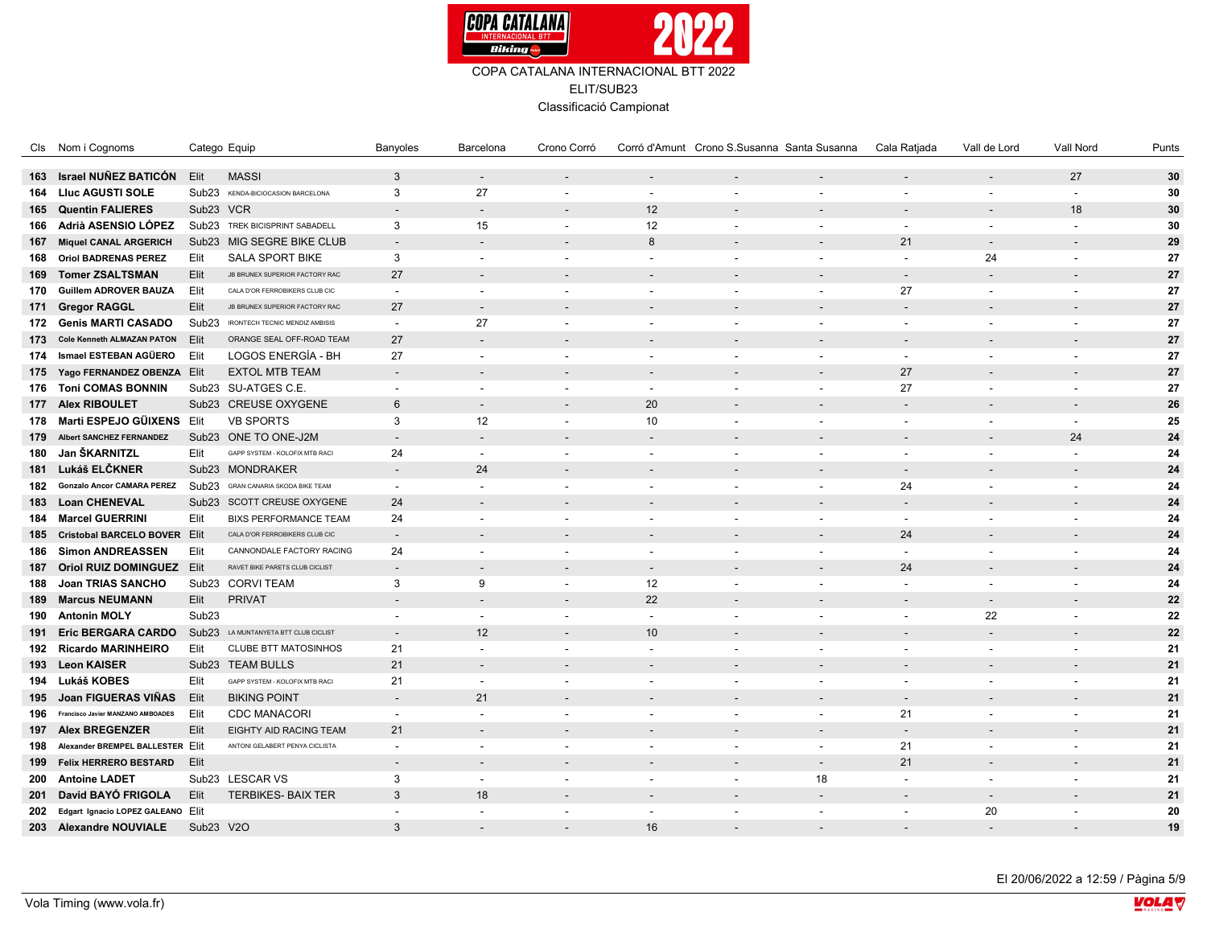

Classificació Campionat

|     | Cls Nom i Cognoms                     | Catego Equip      |                                                                  | Banyoles                 | Barcelona                | Crono Corró              |                          | Corró d'Amunt Crono S.Susanna Santa Susanna |                          | Cala Ratjada                   | Vall de Lord             | Vall Nord                | Punts |
|-----|---------------------------------------|-------------------|------------------------------------------------------------------|--------------------------|--------------------------|--------------------------|--------------------------|---------------------------------------------|--------------------------|--------------------------------|--------------------------|--------------------------|-------|
|     | 163 Israel NUÑEZ BATICÓN              | Elit              | <b>MASSI</b>                                                     | $\mathbf{3}$             | $\overline{\phantom{a}}$ | $\sim$                   | $\overline{\phantom{a}}$ | $\overline{\phantom{a}}$                    | $\overline{\phantom{a}}$ | $\overline{\phantom{a}}$       | $\overline{\phantom{a}}$ | 27                       | 30    |
|     | 164 Lluc AGUSTI SOLE                  | Sub <sub>23</sub> | KENDA-BICIOCASION BARCELONA                                      | 3                        | 27                       |                          | $\overline{\phantom{a}}$ | $\overline{\phantom{a}}$                    | $\overline{\phantom{a}}$ | $\overline{\phantom{a}}$       | $\overline{\phantom{a}}$ |                          | 30    |
|     | 165 Quentin FALIERES                  | Sub23 VCR         |                                                                  | $\overline{\phantom{a}}$ | $\sim$                   |                          | 12                       |                                             | $\overline{a}$           | $\overline{\phantom{a}}$       | $\overline{\phantom{a}}$ | 18                       | 30    |
|     | 166 Adrià ASENSIO LÓPEZ               |                   | Sub23 TREK BICISPRINT SABADELL                                   | 3                        | 15                       | $\overline{\phantom{a}}$ | 12                       | $\blacksquare$                              | $\overline{\phantom{a}}$ | $\overline{\phantom{a}}$       | $\overline{\phantom{a}}$ | $\overline{\phantom{a}}$ | 30    |
|     | 167 Miquel CANAL ARGERICH             |                   | Sub23 MIG SEGRE BIKE CLUB                                        | $\overline{\phantom{a}}$ | $\overline{\phantom{a}}$ |                          | 8                        |                                             |                          | 21                             | $\overline{\phantom{a}}$ |                          | 29    |
|     | 168 Oriol BADRENAS PEREZ              | Elit              | <b>SALA SPORT BIKE</b>                                           | $\mathbf{3}$             | $\sim$                   | $\overline{\phantom{a}}$ | $\sim$                   | $\blacksquare$                              | $\blacksquare$           | $\sim$                         | 24                       | $\blacksquare$           | 27    |
|     | 169 Tomer ZSALTSMAN                   | Elit              |                                                                  | 27                       | $\overline{\phantom{a}}$ |                          |                          |                                             |                          |                                |                          |                          | 27    |
|     | 170 Guillem ADROVER BAUZA             | Elit              | JB BRUNEX SUPERIOR FACTORY RAC<br>CALA D'OR FERROBIKERS CLUB CIC | $\sim$                   | $\overline{\phantom{a}}$ |                          |                          |                                             | $\overline{a}$           | $\overline{\phantom{a}}$<br>27 |                          |                          | 27    |
|     |                                       |                   |                                                                  |                          |                          |                          | $\overline{\phantom{a}}$ | $\blacksquare$                              |                          |                                | $\blacksquare$           |                          | 27    |
|     | 171 Gregor RAGGL                      | Elit              | JB BRUNEX SUPERIOR FACTORY RAC                                   | 27                       | $\overline{\phantom{a}}$ |                          |                          |                                             |                          |                                |                          |                          |       |
|     | 172 Genis MARTI CASADO                | Sub <sub>23</sub> | <b>IRONTECH TECNIC MENDIZ AMBISIS</b>                            | $\blacksquare$           | 27                       | $\overline{\phantom{a}}$ | $\overline{\phantom{a}}$ | $\overline{\phantom{a}}$                    | $\blacksquare$           | $\overline{\phantom{a}}$       | $\overline{\phantom{a}}$ |                          | 27    |
| 173 | <b>Cole Kenneth ALMAZAN PATON</b>     | Elit              | ORANGE SEAL OFF-ROAD TEAM                                        | 27                       | $\overline{a}$           |                          |                          |                                             |                          |                                |                          |                          | 27    |
|     | 174 Ismael ESTEBAN AGÜERO             | Elit              | LOGOS ENERGÍA - BH                                               | 27                       | $\sim$                   | $\blacksquare$           | $\overline{\phantom{a}}$ | $\overline{\phantom{a}}$                    | $\sim$                   | $\sim$                         | $\blacksquare$           |                          | 27    |
|     | 175 Yago FERNANDEZ OBENZA Elit        |                   | <b>EXTOL MTB TEAM</b>                                            | $\overline{\phantom{0}}$ |                          |                          |                          |                                             |                          | 27                             |                          |                          | 27    |
|     | 176 Toni COMAS BONNIN                 |                   | Sub23 SU-ATGES C.E.                                              | $\blacksquare$           | $\sim$                   | $\sim$                   | $\overline{\phantom{a}}$ | $\overline{\phantom{a}}$                    | $\overline{\phantom{a}}$ | 27                             | $\blacksquare$           | $\overline{\phantom{a}}$ | 27    |
|     | 177 Alex RIBOULET                     |                   | Sub23 CREUSE OXYGENE                                             | 6                        | $\sim$                   |                          | 20                       |                                             |                          |                                |                          |                          | 26    |
|     | 178 Marti ESPEJO GÜIXENS Elit         |                   | <b>VB SPORTS</b>                                                 | 3                        | 12                       | $\sim$                   | 10                       | $\blacksquare$                              | $\overline{a}$           | $\overline{\phantom{a}}$       | $\overline{\phantom{a}}$ |                          | 25    |
|     | 179 Albert SANCHEZ FERNANDEZ          |                   | Sub23 ONE TO ONE-J2M                                             | $\overline{\phantom{0}}$ | $\blacksquare$           |                          | $\overline{\phantom{a}}$ |                                             |                          |                                | $\overline{\phantom{a}}$ | 24                       | 24    |
| 180 | Jan ŠKARNITZL                         | Elit              | GAPP SYSTEM - KOLOFIX MTB RACI                                   | 24                       | $\sim$                   | $\sim$                   | $\overline{\phantom{a}}$ | $\overline{\phantom{a}}$                    | $\overline{a}$           | $\blacksquare$                 | $\overline{\phantom{a}}$ |                          | 24    |
|     | 181 Lukáš ELČKNER                     |                   | Sub23 MONDRAKER                                                  | $\overline{\phantom{a}}$ | 24                       |                          |                          |                                             |                          | $\overline{\phantom{a}}$       |                          |                          | 24    |
|     | 182 Gonzalo Ancor CAMARA PEREZ        | Sub <sub>23</sub> | GRAN CANARIA SKODA BIKE TEAM                                     | $\blacksquare$           | $\overline{a}$           | $\sim$                   | $\overline{\phantom{a}}$ | $\overline{\phantom{a}}$                    | $\overline{a}$           | 24                             | $\overline{\phantom{a}}$ | $\overline{a}$           | 24    |
|     | 183 Loan CHENEVAL                     |                   | Sub23 SCOTT CREUSE OXYGENE                                       | 24                       |                          |                          |                          |                                             |                          | $\overline{\phantom{a}}$       |                          |                          | 24    |
|     | 184 Marcel GUERRINI                   | Elit              | <b>BIXS PERFORMANCE TEAM</b>                                     | 24                       | $\overline{a}$           | $\sim$                   | $\overline{\phantom{a}}$ | $\overline{\phantom{a}}$                    | $\blacksquare$           | $\sim$                         | $\overline{\phantom{a}}$ | $\overline{\phantom{a}}$ | 24    |
|     | 185 Cristobal BARCELO BOVER Elit      |                   | CALA D'OR FERROBIKERS CLUB CIC                                   | $\overline{\phantom{a}}$ | $\overline{a}$           |                          |                          |                                             |                          | 24                             |                          |                          | 24    |
| 186 | <b>Simon ANDREASSEN</b>               | Elit              | CANNONDALE FACTORY RACING                                        | 24                       | $\overline{\phantom{a}}$ |                          | $\overline{\phantom{a}}$ |                                             | $\overline{\phantom{a}}$ | $\overline{\phantom{a}}$       | $\blacksquare$           |                          | 24    |
| 187 | <b>Oriol RUIZ DOMINGUEZ Elit</b>      |                   | RAVET BIKE PARETS CLUB CICLIST                                   | $\overline{a}$           | $\overline{a}$           |                          | $\sim$                   |                                             | $\overline{\phantom{a}}$ | 24                             | $\overline{\phantom{a}}$ |                          | 24    |
| 188 | <b>Joan TRIAS SANCHO</b>              |                   | Sub23 CORVI TEAM                                                 | 3                        | 9                        | $\overline{\phantom{a}}$ | 12                       |                                             | $\overline{a}$           | $\overline{\phantom{a}}$       | $\overline{\phantom{a}}$ |                          | 24    |
| 189 | <b>Marcus NEUMANN</b>                 | Elit              | <b>PRIVAT</b>                                                    | $\overline{\phantom{0}}$ | $\overline{a}$           | $\overline{\phantom{a}}$ | 22                       |                                             |                          | $\overline{\phantom{a}}$       | $\overline{\phantom{a}}$ |                          | 22    |
|     | 190 Antonin MOLY                      | Sub <sub>23</sub> |                                                                  | $\sim$                   | $\overline{a}$           | $\sim$                   | $\sim$                   | $\sim$                                      | $\overline{a}$           | $\overline{\phantom{a}}$       | 22                       | $\overline{\phantom{a}}$ | 22    |
| 191 | <b>Eric BERGARA CARDO</b>             | Sub <sub>23</sub> | LA MUNTANYETA BTT CLUB CICLIST                                   |                          | 12                       |                          | 10                       |                                             |                          |                                | $\overline{\phantom{a}}$ |                          | 22    |
|     | 192 Ricardo MARINHEIRO                | Elit              | <b>CLUBE BTT MATOSINHOS</b>                                      | 21                       | $\overline{a}$           | $\blacksquare$           | $\overline{\phantom{a}}$ | $\overline{\phantom{a}}$                    | $\blacksquare$           | $\blacksquare$                 | $\overline{\phantom{a}}$ | $\overline{\phantom{a}}$ | 21    |
|     | 193 Leon KAISER                       | Sub <sub>23</sub> | <b>TEAM BULLS</b>                                                | 21                       | $\blacksquare$           |                          |                          |                                             |                          |                                |                          |                          | 21    |
|     | 194 Lukáš KOBES                       | Elit              | GAPP SYSTEM - KOLOFIX MTB RACI                                   | 21                       | $\overline{a}$           | $\sim$                   | $\overline{\phantom{a}}$ | $\overline{\phantom{a}}$                    | $\overline{a}$           | $\blacksquare$                 | $\overline{\phantom{a}}$ |                          | 21    |
| 195 | Joan FIGUERAS VIÑAS                   | Elit              | <b>BIKING POINT</b>                                              | $\overline{\phantom{0}}$ | 21                       |                          |                          |                                             |                          |                                | $\overline{a}$           |                          | 21    |
|     | 196 Francisco Javier MANZANO AMBOADES | Elit              | <b>CDC MANACORI</b>                                              | $\blacksquare$           | $\overline{\phantom{a}}$ |                          |                          |                                             | $\overline{\phantom{a}}$ | 21                             | $\blacksquare$           |                          | 21    |
|     | 197 Alex BREGENZER                    | Elit              | EIGHTY AID RACING TEAM                                           | 21                       | $\overline{\phantom{a}}$ |                          |                          |                                             | ۰                        | $\overline{\phantom{a}}$       |                          |                          | 21    |
| 198 | Alexander BREMPEL BALLESTER Elit      |                   | ANTONI GELABERT PENYA CICLISTA                                   | $\sim$                   | $\overline{a}$           | $\sim$                   | $\sim$                   | $\overline{\phantom{a}}$                    | $\overline{a}$           | 21                             | $\sim$                   |                          | 21    |
|     | 199 Felix HERRERO BESTARD             | Elit              |                                                                  |                          | $\overline{\phantom{0}}$ |                          |                          |                                             | $\overline{a}$           | 21                             | $\overline{\phantom{a}}$ |                          | 21    |
|     | 200 Antoine LADET                     |                   | Sub23 LESCAR VS                                                  | 3                        | $\overline{\phantom{a}}$ | $\sim$                   | $\overline{\phantom{a}}$ | $\overline{\phantom{a}}$                    | 18                       | $\overline{\phantom{a}}$       | $\blacksquare$           |                          | 21    |
| 201 | David BAYÓ FRIGOLA                    | Elit              | <b>TERBIKES- BAIX TER</b>                                        | 3                        | 18                       |                          |                          |                                             |                          |                                |                          |                          | 21    |
|     | 202 Edgart Ignacio LOPEZ GALEANO Elit |                   |                                                                  | ÷.                       | ÷.                       |                          |                          |                                             | $\overline{a}$           |                                | 20                       |                          | 20    |
|     | 203 Alexandre NOUVIALE                | Sub23 V2O         |                                                                  | $\mathcal{S}$            |                          |                          | 16                       |                                             |                          |                                |                          |                          | 19    |

El 20/06/2022 a 12:59 / Pàgina 5/9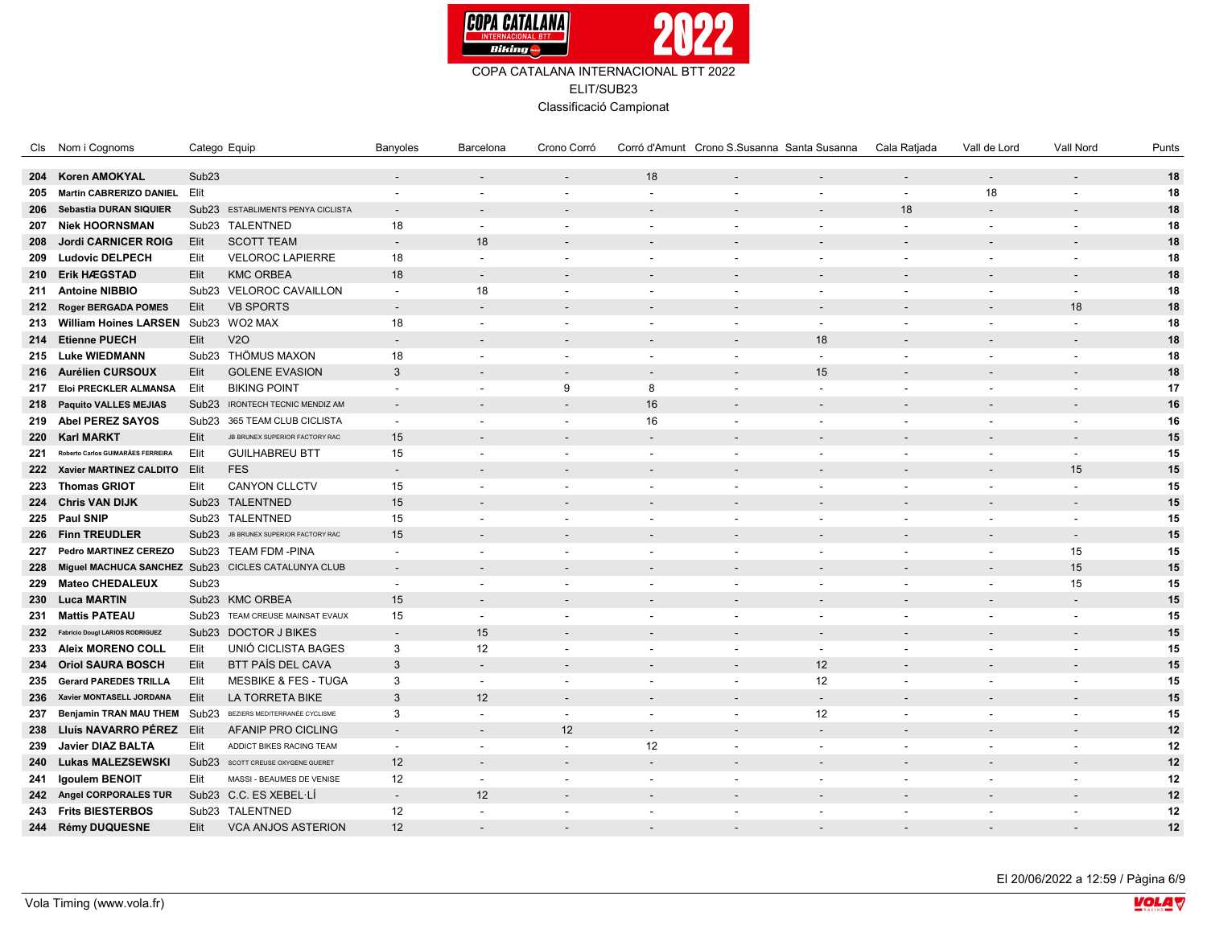

Classificació Campionat

|     | Cls Nom i Cognoms                   | Catego Equip      |                                      | Banyoles                 | Barcelona                | Crono Corró              |                          | Corró d'Amunt Crono S.Susanna Santa Susanna |                          | Cala Ratjada             | Vall de Lord             | Vall Nord                | Punts |
|-----|-------------------------------------|-------------------|--------------------------------------|--------------------------|--------------------------|--------------------------|--------------------------|---------------------------------------------|--------------------------|--------------------------|--------------------------|--------------------------|-------|
|     |                                     |                   |                                      |                          |                          |                          |                          |                                             |                          |                          |                          |                          |       |
|     | 204 Koren AMOKYAL                   | Sub <sub>23</sub> |                                      |                          | $\overline{\phantom{a}}$ | $\overline{\phantom{a}}$ | 18                       |                                             | $\sim$                   | $\overline{\phantom{a}}$ | $\overline{\phantom{a}}$ | $\overline{\phantom{a}}$ | 18    |
| 205 | <b>Martin CABRERIZO DANIEL</b>      | Elit              |                                      |                          |                          |                          | $\blacksquare$           |                                             | $\overline{\phantom{a}}$ | $\overline{\phantom{a}}$ | 18                       |                          | 18    |
|     | 206 Sebastia DURAN SIQUIER          |                   | Sub23 ESTABLIMENTS PENYA CICLISTA    | $\overline{\phantom{a}}$ | $\overline{\phantom{a}}$ |                          | $\overline{\phantom{a}}$ |                                             | $\overline{a}$           | 18                       | $\overline{\phantom{a}}$ | $\overline{\phantom{a}}$ | 18    |
|     | 207 Niek HOORNSMAN                  |                   | Sub23 TALENTNED                      | 18                       |                          |                          | $\overline{\phantom{a}}$ |                                             | $\overline{\phantom{a}}$ | $\overline{\phantom{a}}$ |                          |                          | 18    |
| 208 | <b>Jordi CARNICER ROIG</b>          | Elit              | <b>SCOTT TEAM</b>                    | $\overline{\phantom{a}}$ | 18                       |                          | $\overline{\phantom{a}}$ |                                             | $\overline{\phantom{a}}$ |                          |                          | $\overline{a}$           | 18    |
| 209 | <b>Ludovic DELPECH</b>              | Elit              | <b>VELOROC LAPIERRE</b>              | 18                       | $\overline{\phantom{a}}$ |                          | $\overline{\phantom{a}}$ | $\overline{\phantom{a}}$                    | $\overline{\phantom{a}}$ | $\overline{\phantom{a}}$ |                          | $\blacksquare$           | 18    |
|     | 210 Erik HÆGSTAD                    | Elit              | <b>KMC ORBEA</b>                     | 18                       | $\overline{\phantom{a}}$ |                          |                          |                                             | $\overline{\phantom{a}}$ |                          |                          | $\overline{\phantom{a}}$ | 18    |
|     | 211 Antoine NIBBIO                  |                   | Sub23 VELOROC CAVAILLON              | $\overline{\phantom{a}}$ | 18                       |                          | $\overline{\phantom{a}}$ |                                             | $\overline{a}$           |                          |                          |                          | 18    |
|     | 212 Roger BERGADA POMES             | Elit              | <b>VB SPORTS</b>                     | $\overline{\phantom{a}}$ | $\overline{\phantom{a}}$ |                          | $\overline{\phantom{a}}$ |                                             | $\overline{a}$           | $\overline{\phantom{a}}$ |                          | 18                       | 18    |
|     | 213 William Hoines LARSEN Sub23     |                   | WO2 MAX                              | 18                       | $\overline{\phantom{a}}$ | $\overline{\phantom{a}}$ | $\blacksquare$           | Ĭ.                                          | $\overline{\phantom{a}}$ |                          |                          |                          | 18    |
|     | 214 Etienne PUECH                   | Elit              | V2O                                  | $\overline{\phantom{a}}$ | $\overline{\phantom{a}}$ |                          |                          |                                             | 18                       |                          |                          | $\overline{\phantom{a}}$ | 18    |
|     | 215 Luke WIEDMANN                   |                   | Sub23 THÖMUS MAXON                   | 18                       |                          | $\overline{\phantom{a}}$ | $\overline{\phantom{a}}$ |                                             | $\blacksquare$           |                          |                          |                          | 18    |
|     | 216 Aurélien CURSOUX                | Elit              | <b>GOLENE EVASION</b>                | $\mathbf{3}$             |                          |                          |                          |                                             | 15                       |                          |                          | $\overline{a}$           | 18    |
|     | 217 Eloi PRECKLER ALMANSA           | Elit              | <b>BIKING POINT</b>                  | $\blacksquare$           |                          | 9                        | 8                        |                                             | $\blacksquare$           |                          |                          |                          | 17    |
|     | 218 Paquito VALLES MEJIAS           |                   | Sub23 IRONTECH TECNIC MENDIZ AM      |                          |                          |                          | 16                       |                                             |                          |                          |                          |                          | 16    |
|     | 219 Abel PEREZ SAYOS                |                   | Sub23 365 TEAM CLUB CICLISTA         | $\blacksquare$           |                          | $\overline{\phantom{a}}$ | 16                       |                                             | $\overline{\phantom{a}}$ |                          |                          |                          | 16    |
|     | 220 Karl MARKT                      | Elit              | JB BRUNEX SUPERIOR FACTORY RAC       | 15                       |                          |                          | $\overline{\phantom{a}}$ |                                             | $\overline{a}$           |                          |                          | $\overline{a}$           | 15    |
| 221 | Roberto Carlos GUIMARÃES FERREIRA   | Elit              | <b>GUILHABREU BTT</b>                | 15                       |                          | $\overline{\phantom{a}}$ | $\overline{\phantom{a}}$ |                                             |                          |                          |                          | $\blacksquare$           | 15    |
|     | 222 Xavier MARTINEZ CALDITO         | Elit              | <b>FES</b>                           | $\overline{\phantom{a}}$ |                          |                          |                          |                                             |                          |                          |                          | 15                       | 15    |
|     | 223 Thomas GRIOT                    | Elit              | <b>CANYON CLLCTV</b>                 | 15                       | $\sim$                   | $\overline{\phantom{a}}$ | $\overline{\phantom{a}}$ |                                             | $\overline{\phantom{a}}$ | $\overline{\phantom{a}}$ |                          | $\blacksquare$           | 15    |
|     | 224 Chris VAN DIJK                  |                   | Sub23 TALENTNED                      | 15                       |                          |                          |                          |                                             |                          |                          |                          |                          | 15    |
|     | 225 Paul SNIP                       |                   | Sub23 TALENTNED                      | 15                       | $\overline{\phantom{a}}$ | $\overline{\phantom{a}}$ | $\overline{\phantom{a}}$ | $\overline{\phantom{a}}$                    | $\overline{\phantom{a}}$ |                          |                          | $\sim$                   | 15    |
|     | 226 Finn TREUDLER                   |                   | Sub23 JB BRUNEX SUPERIOR FACTORY RAC | 15                       |                          |                          |                          |                                             |                          |                          |                          | $\overline{\phantom{a}}$ | 15    |
| 227 | <b>Pedro MARTINEZ CEREZO</b>        |                   | Sub23 TEAM FDM -PINA                 | $\overline{\phantom{a}}$ | $\overline{\phantom{a}}$ | $\overline{\phantom{a}}$ | $\overline{\phantom{a}}$ |                                             | $\overline{\phantom{a}}$ |                          | $\overline{\phantom{a}}$ | 15                       | 15    |
|     | 228 Miguel MACHUCA SANCHEZ Sub23    |                   | <b>CICLES CATALUNYA CLUB</b>         |                          |                          |                          |                          |                                             |                          |                          |                          | 15                       | $15$  |
| 229 | <b>Mateo CHEDALEUX</b>              | Sub <sub>23</sub> |                                      | $\overline{\phantom{a}}$ |                          | $\overline{\phantom{a}}$ | $\overline{\phantom{a}}$ |                                             | $\overline{\phantom{a}}$ |                          |                          | 15                       | 15    |
|     | 230 Luca MARTIN                     |                   | Sub23 KMC ORBEA                      | 15                       |                          |                          |                          |                                             |                          |                          |                          | $\overline{\phantom{a}}$ | 15    |
|     | 231 Mattis PATEAU                   |                   | Sub23 TEAM CREUSE MAINSAT EVAUX      | 15                       | $\sim$                   | $\overline{\phantom{a}}$ | $\overline{\phantom{a}}$ |                                             | $\overline{\phantom{a}}$ |                          |                          | $\blacksquare$           | 15    |
|     | 232 Fabricio Dougl LARIOS RODRIGUEZ |                   | Sub23 DOCTOR J BIKES                 |                          | 15                       |                          |                          |                                             |                          |                          |                          |                          | 15    |
|     | 233 Aleix MORENO COLL               | Elit              | UNIÓ CICLISTA BAGES                  | 3                        | 12                       | $\overline{\phantom{a}}$ | $\blacksquare$           | $\overline{\phantom{a}}$                    | $\overline{\phantom{a}}$ |                          |                          | $\blacksquare$           | 15    |
|     | 234 Oriol SAURA BOSCH               | Elit              | <b>BTT PAÍS DEL CAVA</b>             | $\mathbf{3}$             |                          |                          |                          |                                             | 12                       |                          |                          |                          | 15    |
|     | 235 Gerard PAREDES TRILLA           | Elit              | <b>MESBIKE &amp; FES - TUGA</b>      | 3                        | $\sim$                   | $\overline{\phantom{a}}$ | $\blacksquare$           | $\overline{a}$                              | 12                       |                          |                          |                          | 15    |
|     | 236 Xavier MONTASELL JORDANA        | Elit              | LA TORRETA BIKE                      | $\mathbf{3}$             | 12                       |                          |                          |                                             |                          |                          |                          |                          | 15    |
| 237 | <b>Benjamin TRAN MAU THEM</b>       |                   | Sub23 BEZIERS MEDITERRANÉE CYCLISME  | 3                        | $\overline{\phantom{a}}$ | $\overline{\phantom{a}}$ | $\overline{\phantom{a}}$ | $\blacksquare$                              | 12                       | $\overline{\phantom{a}}$ |                          |                          | 15    |
|     | 238 Lluís NAVARRO PÉREZ Elit        |                   | AFANIP PRO CICLING                   | $\overline{a}$           | $\overline{\phantom{a}}$ | 12                       | $\overline{\phantom{a}}$ |                                             | $\overline{a}$           | $\overline{\phantom{a}}$ |                          | $\overline{\phantom{a}}$ | 12    |
| 239 | <b>Javier DIAZ BALTA</b>            | Elit              | ADDICT BIKES RACING TEAM             | $\sim$                   | $\overline{\phantom{a}}$ | $\sim$                   | 12                       | $\overline{\phantom{a}}$                    | $\blacksquare$           | $\overline{\phantom{a}}$ |                          |                          | 12    |
|     | 240 Lukas MALEZSEWSKI               | Sub <sub>23</sub> | SCOTT CREUSE OXYGENE GUERET          | 12                       |                          |                          | $\overline{\phantom{a}}$ |                                             |                          |                          |                          |                          | $12$  |
|     | 241 Igoulem BENOIT                  | Elit              | MASSI - BEAUMES DE VENISE            | 12                       | $\overline{\phantom{a}}$ | $\overline{\phantom{a}}$ | $\blacksquare$           | $\blacksquare$                              | $\overline{\phantom{a}}$ | $\overline{\phantom{a}}$ |                          | $\overline{\phantom{a}}$ | 12    |
|     | 242 Angel CORPORALES TUR            |                   | Sub23 C.C. ES XEBEL·LÍ               | $\overline{\phantom{a}}$ | 12                       |                          |                          |                                             |                          |                          |                          |                          | $12$  |
|     | 243 Frits BIESTERBOS                |                   | Sub23 TALENTNED                      | 12                       | $\ddot{\phantom{a}}$     |                          | $\overline{\phantom{a}}$ |                                             | $\overline{a}$           |                          |                          |                          | 12    |
|     | 244 Rémy DUQUESNE                   | Elit              | <b>VCA ANJOS ASTERION</b>            | 12                       |                          |                          |                          |                                             |                          |                          |                          |                          | 12    |

El 20/06/2022 a 12:59 / Pàgina 6/9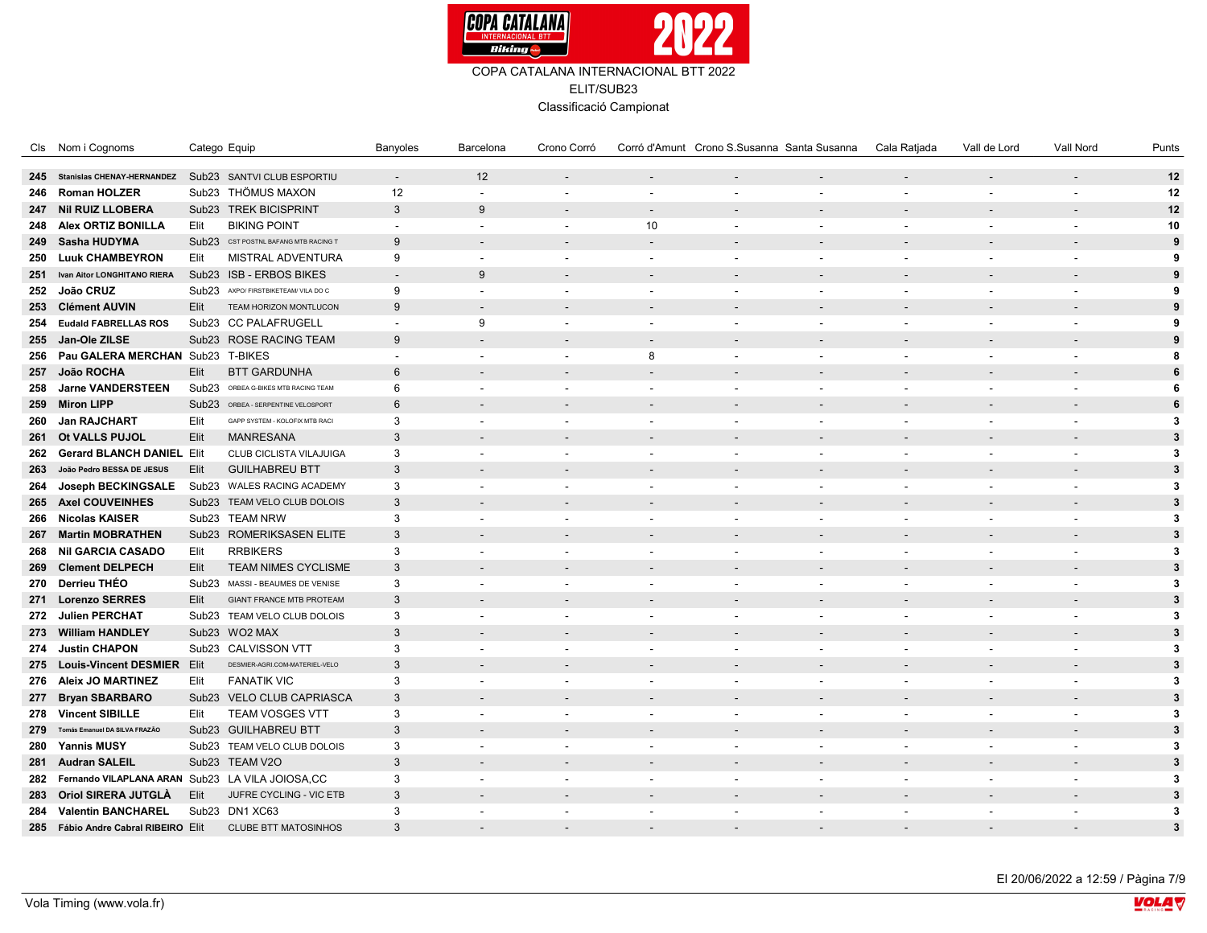

Classificació Campionat

|     | Cls Nom i Cognoms                                         | Catego Equip      |                                                                         | Banyoles                      | Barcelona                | Crono Corró              |                          | Corró d'Amunt Crono S.Susanna Santa Susanna |                          | Cala Ratjada             | Vall de Lord             | Vall Nord | Punts                   |
|-----|-----------------------------------------------------------|-------------------|-------------------------------------------------------------------------|-------------------------------|--------------------------|--------------------------|--------------------------|---------------------------------------------|--------------------------|--------------------------|--------------------------|-----------|-------------------------|
|     | 245 Stanislas CHENAY-HERNANDEZ Sub23 SANTVI CLUB ESPORTIU |                   |                                                                         |                               | 12                       |                          |                          |                                             |                          | $\blacksquare$           |                          |           | 12                      |
|     | 246 Roman HOLZER                                          |                   | Sub23 THÖMUS MAXON                                                      | 12                            | $\overline{\phantom{a}}$ | $\overline{\phantom{a}}$ | $\overline{\phantom{a}}$ |                                             | $\blacksquare$           | $\overline{\phantom{a}}$ |                          |           | 12                      |
|     | 247 Nil RUIZ LLOBERA                                      |                   | Sub23 TREK BICISPRINT                                                   | $\mathbf{3}$                  | 9                        |                          |                          |                                             |                          |                          |                          |           | 12                      |
|     |                                                           |                   |                                                                         |                               |                          |                          |                          |                                             |                          |                          |                          |           |                         |
|     | 248 Alex ORTIZ BONILLA                                    | Elit              | <b>BIKING POINT</b><br>Sub <sub>23</sub> CST POSTNL BAFANG MTB RACING T | $\overline{\phantom{a}}$<br>9 | $\overline{\phantom{a}}$ | $\overline{\phantom{a}}$ | 10                       | $\overline{\phantom{a}}$                    | $\blacksquare$           | $\overline{\phantom{a}}$ | $\overline{\phantom{a}}$ |           | 10<br>9                 |
|     | 249 Sasha HUDYMA                                          |                   |                                                                         |                               |                          |                          |                          |                                             |                          |                          |                          |           |                         |
|     | 250 Luuk CHAMBEYRON                                       | Elit              | <b>MISTRAL ADVENTURA</b>                                                | 9                             | $\overline{\phantom{a}}$ |                          | $\overline{\phantom{a}}$ |                                             | $\overline{\phantom{a}}$ |                          |                          |           | 9                       |
|     | 251 Ivan Aitor LONGHITANO RIERA                           | Sub <sub>23</sub> | <b>ISB - ERBOS BIKES</b>                                                | $\overline{\phantom{a}}$      | 9                        |                          |                          |                                             |                          |                          |                          |           | 9                       |
|     | 252 João CRUZ                                             | Sub <sub>23</sub> | AXPO/ FIRSTBIKETEAM/ VILA DO C                                          | 9                             | $\overline{\phantom{a}}$ |                          | $\blacksquare$           |                                             | $\overline{\phantom{m}}$ |                          |                          |           | 9                       |
|     | 253 Clément AUVIN                                         | Elit              | TEAM HORIZON MONTLUCON                                                  | 9                             |                          |                          |                          |                                             |                          |                          |                          |           | 9                       |
|     | 254 Eudald FABRELLAS ROS                                  | Sub <sub>23</sub> | <b>CC PALAFRUGELL</b>                                                   | $\sim$                        | 9                        |                          | $\sim$                   |                                             |                          |                          |                          |           | 9                       |
|     | 255 Jan-Ole ZILSE                                         | Sub <sub>23</sub> | <b>ROSE RACING TEAM</b>                                                 | 9                             |                          |                          |                          |                                             |                          |                          |                          |           | 9                       |
|     | 256 Pau GALERA MERCHAN Sub23 T-BIKES                      |                   |                                                                         |                               | $\overline{\phantom{a}}$ | $\overline{\phantom{a}}$ | 8                        | $\blacksquare$                              | $\overline{\phantom{a}}$ | $\overline{\phantom{a}}$ | $\overline{\phantom{a}}$ |           | 8                       |
|     | 257 João ROCHA                                            | Elit              | <b>BTT GARDUNHA</b>                                                     | 6                             |                          |                          |                          |                                             |                          |                          |                          |           | 6                       |
| 258 | <b>Jarne VANDERSTEEN</b>                                  | Sub <sub>23</sub> | ORBEA G-BIKES MTB RACING TEAM                                           | 6                             |                          | $\overline{\phantom{a}}$ | $\overline{\phantom{a}}$ |                                             | $\overline{\phantom{a}}$ | $\blacksquare$           |                          |           | ĥ                       |
|     | 259 Miron LIPP                                            | Sub <sub>23</sub> | ORBEA - SERPENTINE VELOSPORT                                            | 6                             |                          |                          |                          |                                             |                          |                          |                          |           | 6                       |
| 260 | Jan RAJCHART                                              | Elit              | GAPP SYSTEM - KOLOFIX MTB RACI                                          | 3                             | $\sim$                   |                          | $\overline{\phantom{a}}$ |                                             | $\overline{\phantom{a}}$ |                          |                          |           | 3                       |
|     | 261 Ot VALLS PUJOL                                        | Elit              | <b>MANRESANA</b>                                                        | 3                             |                          |                          |                          |                                             |                          |                          |                          |           | $\overline{\mathbf{3}}$ |
|     | 262 Gerard BLANCH DANIEL Elit                             |                   | CLUB CICLISTA VILAJUIGA                                                 | 3                             |                          |                          |                          |                                             |                          |                          |                          |           | 3                       |
| 263 | João Pedro BESSA DE JESUS                                 | Elit              | <b>GUILHABREU BTT</b>                                                   | 3                             |                          |                          |                          |                                             |                          |                          |                          |           | $\mathbf{3}$            |
| 264 | Joseph BECKINGSALE                                        |                   | Sub23 WALES RACING ACADEMY                                              | 3                             | $\ddot{\phantom{a}}$     |                          | $\blacksquare$           |                                             | $\overline{a}$           | $\blacksquare$           |                          |           | 3                       |
|     | 265 Axel COUVEINHES                                       |                   | Sub23 TEAM VELO CLUB DOLOIS                                             | 3                             |                          |                          |                          |                                             |                          |                          |                          |           | 3                       |
|     | 266 Nicolas KAISER                                        |                   | Sub23 TEAM NRW                                                          | 3                             |                          |                          | $\sim$                   |                                             |                          |                          |                          |           | 3                       |
| 267 | <b>Martin MOBRATHEN</b>                                   |                   | Sub23 ROMERIKSASEN ELITE                                                | 3                             |                          |                          |                          |                                             |                          |                          |                          |           | $\mathbf{3}$            |
| 268 | <b>NII GARCIA CASADO</b>                                  | Elit              | <b>RRBIKERS</b>                                                         | 3                             | $\sim$                   |                          | $\overline{\phantom{a}}$ |                                             | $\overline{a}$           |                          |                          |           | 3                       |
|     | 269 Clement DELPECH                                       | Elit              | <b>TEAM NIMES CYCLISME</b>                                              | 3                             |                          |                          |                          |                                             |                          |                          |                          |           | $\overline{\mathbf{3}}$ |
|     | 270 Derrieu THÉO                                          |                   | Sub23 MASSI - BEAUMES DE VENISE                                         | 3                             |                          |                          |                          |                                             |                          |                          |                          |           | 3                       |
|     | 271 Lorenzo SERRES                                        | Elit              | GIANT FRANCE MTB PROTEAM                                                | 3                             |                          |                          |                          |                                             |                          |                          |                          |           | $\mathbf{3}$            |
|     | 272 Julien PERCHAT                                        |                   | Sub23 TEAM VELO CLUB DOLOIS                                             | 3                             | $\overline{\phantom{a}}$ |                          | $\overline{\phantom{a}}$ |                                             | $\blacksquare$           | $\blacksquare$           |                          |           | 3                       |
|     | 273 William HANDLEY                                       |                   | Sub23 WO2 MAX                                                           | 3                             |                          |                          |                          |                                             |                          |                          |                          |           | 3                       |
| 274 | <b>Justin CHAPON</b>                                      |                   | Sub23 CALVISSON VTT                                                     | 3                             |                          |                          | $\overline{\phantom{a}}$ |                                             |                          |                          |                          |           | 3                       |
| 275 | Louis-Vincent DESMIER Elit                                |                   | DESMIER-AGRI.COM-MATERIEL-VELO                                          | 3                             |                          |                          |                          |                                             |                          |                          |                          |           | $\mathbf{3}$            |
|     | 276 Aleix JO MARTINEZ                                     | Elit              | <b>FANATIK VIC</b>                                                      | 3                             | $\overline{a}$           |                          | $\overline{\phantom{a}}$ |                                             | $\overline{a}$           |                          |                          |           | 3                       |
|     |                                                           |                   |                                                                         | 3                             |                          |                          |                          |                                             |                          |                          |                          |           |                         |
|     | 277 Bryan SBARBARO                                        | Sub <sub>23</sub> | <b>VELO CLUB CAPRIASCA</b>                                              |                               |                          |                          |                          |                                             |                          |                          |                          |           | 3<br>3                  |
| 278 | <b>Vincent SIBILLE</b>                                    | Elit              | <b>TEAM VOSGES VTT</b>                                                  | 3                             |                          |                          |                          |                                             |                          |                          |                          |           |                         |
| 279 | Tomás Emanuel DA SILVA FRAZÃO                             | Sub <sub>23</sub> | <b>GUILHABREU BTT</b>                                                   | 3                             |                          |                          |                          |                                             |                          |                          |                          |           | 3                       |
|     | 280 Yannis MUSY                                           |                   | Sub23 TEAM VELO CLUB DOLOIS                                             | 3                             | $\sim$                   |                          | $\sim$                   |                                             | $\overline{a}$           | $\overline{a}$           |                          |           | 3                       |
|     | 281 Audran SALEIL                                         |                   | Sub23 TEAM V2O                                                          | 3                             |                          |                          |                          |                                             |                          |                          |                          |           | 3                       |
|     | 282 Fernando VILAPLANA ARAN Sub23 LA VILA JOIOSA,CC       |                   |                                                                         | 3                             | $\sim$                   |                          | $\overline{\phantom{a}}$ |                                             | $\overline{a}$           | $\blacksquare$           |                          |           | 3                       |
|     | 283 Oriol SIRERA JUTGLA                                   | Elit              | JUFRE CYCLING - VIC ETB                                                 | 3                             |                          |                          |                          |                                             |                          |                          |                          |           | 3                       |
|     | 284 Valentin BANCHAREL                                    |                   | Sub23 DN1 XC63                                                          | 3                             |                          |                          |                          |                                             |                          |                          |                          |           | 3                       |
|     | 285 Fábio Andre Cabral RIBEIRO Elit                       |                   | <b>CLUBE BTT MATOSINHOS</b>                                             | $\mathbf{B}$                  |                          |                          |                          |                                             |                          |                          |                          |           | 3                       |

El 20/06/2022 a 12:59 / Pàgina 7/9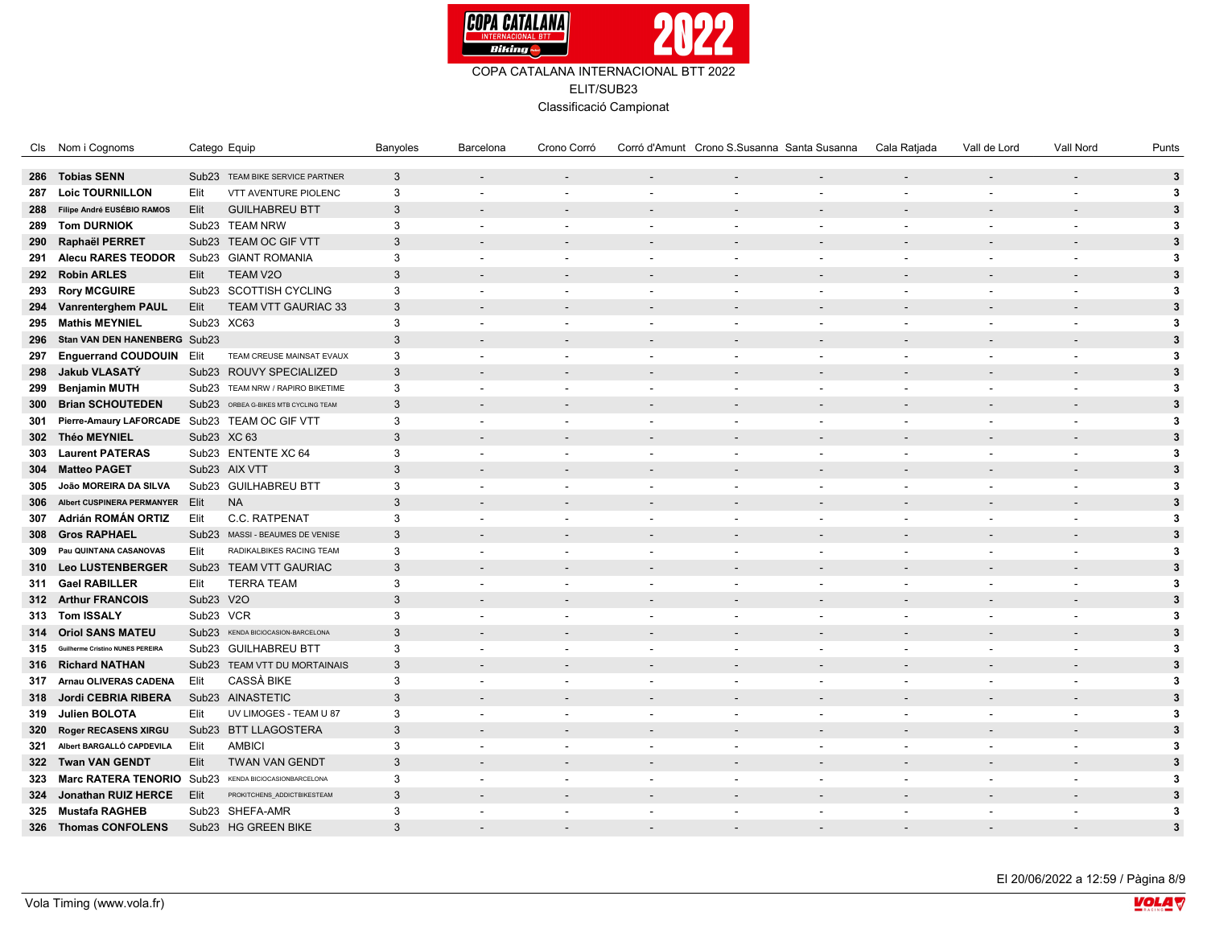

Classificació Campionat

|     | Cls Nom i Cognoms                                 | Catego Equip      |                                  | Banyoles     | Barcelona                | Crono Corró              |                          | Corró d'Amunt Crono S.Susanna Santa Susanna |                          | Cala Ratjada             | Vall de Lord | Vall Nord      | Punts                   |
|-----|---------------------------------------------------|-------------------|----------------------------------|--------------|--------------------------|--------------------------|--------------------------|---------------------------------------------|--------------------------|--------------------------|--------------|----------------|-------------------------|
|     | 286 Tobias SENN                                   |                   | Sub23 TEAM BIKE SERVICE PARTNER  | 3            |                          | $\blacksquare$           | $\overline{\phantom{a}}$ |                                             | $\blacksquare$           | $\overline{\phantom{a}}$ |              | $\overline{a}$ | 3                       |
|     |                                                   |                   |                                  |              |                          |                          |                          |                                             |                          |                          |              |                |                         |
|     | 287 Loic TOURNILLON                               | Elit              | VTT AVENTURE PIOLENC             | 3<br>3       | $\overline{\phantom{a}}$ | $\overline{\phantom{a}}$ | $\overline{\phantom{a}}$ |                                             | $\overline{\phantom{a}}$ |                          |              |                | 3                       |
|     | 288 Filipe André EUSÉBIO RAMOS                    | Elit              | <b>GUILHABREU BTT</b>            |              |                          |                          |                          |                                             |                          |                          |              |                | $\mathbf{3}$            |
|     | 289 Tom DURNIOK                                   |                   | Sub23 TEAM NRW                   | 3            | $\overline{\phantom{a}}$ | $\overline{\phantom{a}}$ | $\overline{\phantom{a}}$ |                                             | $\overline{\phantom{a}}$ |                          |              |                | 3                       |
|     | 290 Raphaël PERRET                                |                   | Sub23 TEAM OC GIF VTT            | 3            |                          |                          |                          |                                             |                          |                          |              |                | $\mathbf{3}$            |
|     | 291 Alecu RARES TEODOR                            | Sub <sub>23</sub> | <b>GIANT ROMANIA</b>             | 3            | $\overline{\phantom{a}}$ | $\blacksquare$           | $\overline{\phantom{a}}$ | $\blacksquare$                              | $\blacksquare$           |                          |              | $\blacksquare$ | 3                       |
|     | 292 Robin ARLES                                   | Elit              | TEAM V2O                         | 3            |                          |                          |                          |                                             |                          |                          |              |                | $\mathbf{3}$            |
|     | 293 Rory MCGUIRE                                  |                   | Sub23 SCOTTISH CYCLING           | 3            |                          | $\blacksquare$           | $\overline{\phantom{a}}$ |                                             | $\overline{a}$           |                          |              |                | 3                       |
|     | 294 Vanrenterghem PAUL                            | Elit              | TEAM VTT GAURIAC 33              | 3            |                          |                          |                          |                                             |                          |                          |              |                | $\mathbf{3}$            |
|     | 295 Mathis MEYNIEL                                | Sub23 XC63        |                                  | 3            | $\sim$                   | $\overline{\phantom{a}}$ | $\overline{\phantom{a}}$ |                                             | $\overline{\phantom{a}}$ |                          |              |                | 3                       |
|     | 296 Stan VAN DEN HANENBERG Sub23                  |                   |                                  | 3            |                          |                          |                          |                                             |                          |                          |              |                | $\mathbf{3}$            |
|     | 297 Enguerrand COUDOUIN                           | Elit              | TEAM CREUSE MAINSAT EVAUX        | 3            | $\overline{\phantom{a}}$ | $\overline{\phantom{a}}$ | $\overline{\phantom{a}}$ | $\blacksquare$                              | $\blacksquare$           |                          |              |                | 3                       |
|     | 298 Jakub VLASATÝ                                 |                   | Sub23 ROUVY SPECIALIZED          | 3            |                          |                          |                          |                                             |                          |                          |              |                | $\mathbf{3}$            |
|     | 299 Benjamin MUTH                                 |                   | Sub23 TEAM NRW / RAPIRO BIKETIME | 3            | $\sim$                   | $\overline{\phantom{a}}$ | $\overline{\phantom{a}}$ | $\overline{\phantom{a}}$                    | $\overline{\phantom{a}}$ |                          |              | $\blacksquare$ | 3                       |
|     | 300 Brian SCHOUTEDEN                              | Sub <sub>23</sub> | ORBEA G-BIKES MTB CYCLING TEAM   | 3            |                          |                          |                          |                                             |                          |                          |              |                | $\mathbf{3}$            |
|     | 301 Pierre-Amaury LAFORCADE Sub23 TEAM OC GIF VTT |                   |                                  | 3            | $\sim$                   | $\overline{\phantom{a}}$ | $\overline{a}$           |                                             | $\overline{a}$           |                          |              |                | 3                       |
|     | 302 Théo MEYNIEL                                  | Sub23 XC 63       |                                  | 3            |                          |                          |                          |                                             |                          |                          |              |                | $\mathbf{3}$            |
|     | 303 Laurent PATERAS                               |                   | Sub23 ENTENTE XC 64              | 3            | $\sim$                   | $\overline{\phantom{a}}$ | $\overline{a}$           |                                             | $\overline{a}$           |                          |              |                | 3                       |
|     | 304 Matteo PAGET                                  |                   | Sub23 AIX VTT                    | 3            |                          |                          |                          |                                             |                          |                          |              |                | $\mathbf{3}$            |
|     | 305 João MOREIRA DA SILVA                         |                   | Sub23 GUILHABREU BTT             | 3            | $\sim$                   | $\overline{\phantom{a}}$ | $\overline{\phantom{a}}$ | $\overline{\phantom{a}}$                    | $\overline{\phantom{a}}$ |                          |              |                | 3                       |
|     | 306 Albert CUSPINERA PERMANYER                    | Elit              | <b>NA</b>                        | 3            |                          |                          |                          |                                             |                          |                          |              |                | $\mathbf{3}$            |
|     | 307 Adrián ROMÁN ORTIZ                            | Elit              | <b>C.C. RATPENAT</b>             | 3            | $\sim$                   | $\overline{\phantom{a}}$ | $\blacksquare$           | $\blacksquare$                              | $\overline{\phantom{a}}$ |                          |              | $\blacksquare$ | 3                       |
|     | 308 Gros RAPHAEL                                  |                   | Sub23 MASSI - BEAUMES DE VENISE  | 3            |                          |                          |                          |                                             |                          |                          |              |                | $\mathbf{3}$            |
|     | 309 Pau QUINTANA CASANOVAS                        | Elit              | RADIKALBIKES RACING TEAM         | 3            |                          |                          | $\overline{\phantom{a}}$ |                                             | $\blacksquare$           |                          |              |                | 3                       |
|     | 310 Leo LUSTENBERGER                              |                   | <b>TEAM VTT GAURIAC</b>          | 3            |                          |                          |                          |                                             |                          |                          |              |                | $\mathbf{3}$            |
|     |                                                   | Sub <sub>23</sub> |                                  | 3            |                          |                          |                          |                                             |                          |                          |              |                | 3                       |
|     | 311 Gael RABILLER                                 | Elit              | <b>TERRA TEAM</b>                |              |                          | $\blacksquare$           |                          |                                             |                          |                          |              |                |                         |
|     | 312 Arthur FRANCOIS                               | Sub23 V2O         |                                  | 3            |                          |                          |                          |                                             |                          |                          |              |                | $\mathbf{3}$            |
|     | 313 Tom ISSALY                                    | Sub23 VCR         |                                  | 3            | $\sim$                   | $\sim$                   | $\overline{a}$           | $\blacksquare$                              | $\overline{a}$           | $\overline{\phantom{a}}$ |              |                | 3                       |
|     | 314 Oriol SANS MATEU                              | Sub <sub>23</sub> | KENDA BICIOCASION-BARCELONA      | 3            |                          |                          |                          |                                             |                          |                          |              |                | $\mathbf{3}$            |
|     | 315 Guilherme Cristino NUNES PEREIRA              |                   | Sub23 GUILHABREU BTT             | 3            |                          | $\overline{\phantom{a}}$ | $\blacksquare$           |                                             | $\blacksquare$           |                          |              |                | 3                       |
|     | 316 Richard NATHAN                                | Sub <sub>23</sub> | TEAM VTT DU MORTAINAIS           | 3            |                          |                          |                          |                                             |                          |                          |              |                | $\mathbf{3}$            |
|     | 317 Arnau OLIVERAS CADENA                         | Elit              | CASSÀ BIKE                       | 3            |                          |                          | $\overline{a}$           |                                             | $\overline{a}$           |                          |              |                | 3                       |
|     | 318 Jordi CEBRIA RIBERA                           |                   | Sub23 AINASTETIC                 | 3            |                          |                          |                          |                                             |                          |                          |              |                | $\mathbf{3}$            |
|     | 319 Julien BOLOTA                                 | Elit              | UV LIMOGES - TEAM U 87           | 3            |                          |                          |                          |                                             |                          |                          |              |                | 3                       |
| 320 | <b>Roger RECASENS XIRGU</b>                       | Sub <sub>23</sub> | <b>BTT LLAGOSTERA</b>            | 3            |                          |                          |                          |                                             |                          |                          |              |                | 3                       |
| 321 | Albert BARGALLÓ CAPDEVILA                         | Elit              | <b>AMBICI</b>                    | 3            | $\sim$                   | $\sim$                   | $\sim$                   | $\overline{a}$                              | $\overline{a}$           |                          |              |                | 3                       |
|     | 322 Twan VAN GENDT                                | Elit              | TWAN VAN GENDT                   | 3            |                          |                          |                          |                                             |                          |                          |              |                | 3                       |
|     | 323 Marc RATERA TENORIO                           | Sub <sub>23</sub> | KENDA BICIOCASIONBARCELONA       | 3            |                          | $\sim$                   | $\overline{\phantom{a}}$ | $\blacksquare$                              | $\overline{\phantom{a}}$ |                          |              |                | 3                       |
|     | 324 Jonathan RUIZ HERCE                           | Elit              | PROKITCHENS_ADDICTBIKESTEAM      | 3            |                          |                          |                          |                                             |                          |                          |              |                | $\mathbf{3}$            |
|     | 325 Mustafa RAGHEB                                |                   | Sub23 SHEFA-AMR                  | 3            |                          |                          |                          |                                             |                          |                          |              |                | 3                       |
|     | 326 Thomas CONFOLENS                              |                   | Sub23 HG GREEN BIKE              | $\mathbf{z}$ |                          |                          |                          |                                             |                          |                          |              |                | $\overline{\mathbf{3}}$ |